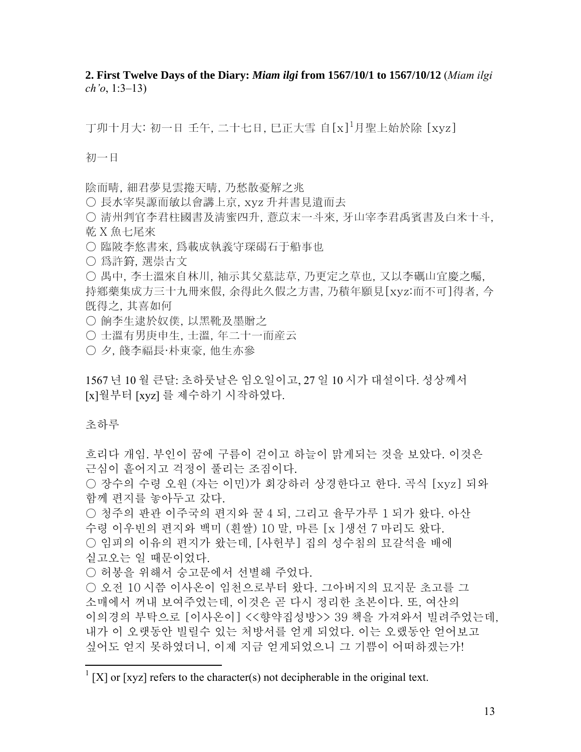**2. First Twelve Days of the Diary:** *Miam ilgi* **from 1567/10/1 to 1567/10/12** (*Miam ilgi ch'o*, 1:3–13)

丁卯十月大: 初一日 壬午, 二十七日, 巳正大雪 自 [x]<sup>1</sup>月聖上始於除 [xyz]

初一日

陰而晴, 細君夢見雲捲天晴, 乃愁散憂解之兆

○ 長水宰吳謜而敏以會講上京, xyz 升幷書見遺而去

- 淸州判官李君柱國書及淸蜜四升, 薏苡末一斗來, 牙山宰李君禹賓書及白米十斗, 乾 X 魚七尾來
- 臨陂李悠書來, 爲載成執義守琛碣石于船事也
- 爲許篈, 選崇古文

○ 禺中, 李士溫來自林川, 袖示其父墓誌草, 乃更定之草也, 又以李礪山宜慶之囑, 持鄕藥集成方三十九冊來假, 余得此久假之方書, 乃積年願見[xyz:而不可]得者, 今 旣得之, 其喜如何

- 餉李生逮於奴僕, 以黑靴及墨贈之
- 士溫有男庚申生, 士溫, 年二十一而産云
- 夕, 餞李福長·朴東豪, 他生亦參

1567 년 10 월 큰달: 초하룻날은 임오일이고, 27 일 10 시가 대설이다. 성상께서 [x]월부터 [xyz] 를 제수하기 시작하였다.

초하루

<u>.</u>

흐리다 개임. 부인이 꿈에 구름이 걷이고 하늘이 맑게되는 것을 보았다. 이것은 근심이 흩어지고 걱정이 풀리는 조짐이다.

○ 장수의 수령 오워 (자는 이민)가 회강하러 상경한다고 한다. 곡식 [xvz] 되와 함께 편지를 놓아두고 갔다.

○ 청주의 판관 이주국의 편지와 꿀 4 되, 그리고 율무가루 1 되가 왔다. 아산 수령 이우빈의 편지와 백미 (흰쌀) 10 말, 마른 [x ]생선 7 마리도 왔다. ○ 임피의 이유의 편지가 왔는데, [사헌부] 집의 성수침의 묘갈석을 배에 싵고오는 일 때문이었다.

○ 허봉을 위해서 숭고문에서 선별해 주었다.

○ 오전 10 시쯤 이사온이 임천으로부터 왔다. 그아버지의 묘지문 초고를 그 소매에서 꺼내 보여주었는데, 이것은 곧 다시 정리한 초본이다. 또, 여산의 이의경의 부탁으로 [이사온이] <<향약집성방>> 39 책을 가져와서 빌려주었는데, 내가 이 오랫동안 빌릴수 있는 처방서를 얻게 되었다. 이는 오랬동안 얻어보고 싶어도 얻지 못하였더니, 이제 지금 얻게되었으니 그 기쁨이 어떠하겠는가!

 $1$  [X] or [xyz] refers to the character(s) not decipherable in the original text.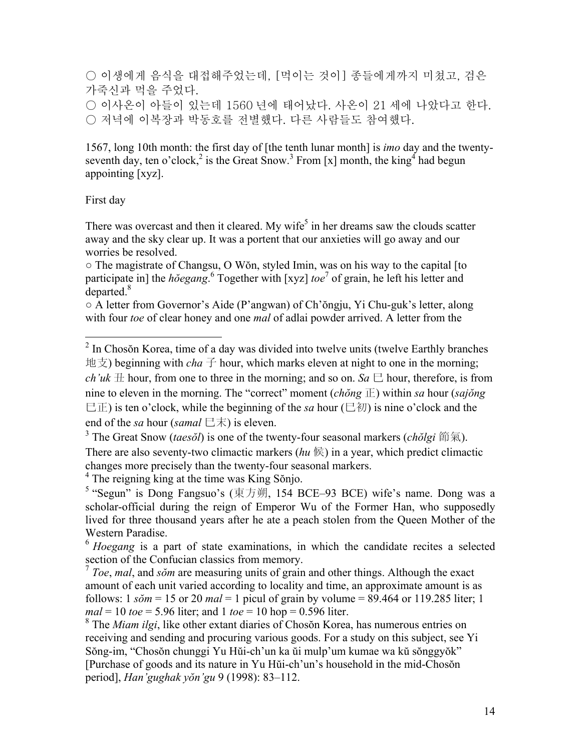○ 이생에게 음식을 대접해주었는데, [먹이는 것이] 종들에게까지 미쳤고, 검은 가죽신과 먹을 주었다. ○ 이사온이 아들이 있는데 1560 년에 태어났다. 사온이 21 세에 나았다고 한다. ○ 저녁에 이복장과 박동호를 전별했다. 다른 사람들도 참여했다.

1567, long 10th month: the first day of [the tenth lunar month] is *imo* day and the twentyseventh day, ten o'clock,<sup>2</sup> is the Great Snow.<sup>3</sup> From [x] month, the king<sup>4</sup> had begun appointing [xyz].

#### First day

There was overcast and then it cleared. My wife<sup>5</sup> in her dreams saw the clouds scatter away and the sky clear up. It was a portent that our anxieties will go away and our worries be resolved.

○ The magistrate of Changsu, O Wŏn, styled Imin, was on his way to the capital [to participate in] the *h* $\delta$ *egang*.  $\delta$  Together with [xyz] *toe*<sup>7</sup> of grain, he left his letter and departed. $8$ 

○ A letter from Governor's Aide (P'angwan) of Ch'ŏngju, Yi Chu-guk's letter, along with four *toe* of clear honey and one *mal* of adlai powder arrived. A letter from the

4 The reigning king at the time was King Sŏnjo.

<sup>&</sup>lt;sup>2</sup> In Chosŏn Korea, time of a day was divided into twelve units (twelve Earthly branches 地支) beginning with *cha* 子 hour, which marks eleven at night to one in the morning; *ch'uk*  $\pm$  hour, from one to three in the morning; and so on. *Sa*  $\pm$  hour, therefore, is from nine to eleven in the morning. The "correct" moment  $(ch\breve{\phi}ng \to within sa hour (saj\breve{\phi}ng)$ 巳正) is ten o'clock, while the beginning of the *sa* hour (巳初) is nine o'clock and the end of the *sa* hour (*samal*  $\Xi \ddot{\pi}$ ) is eleven.

<sup>3</sup> The Great Snow (*taesŏl*) is one of the twenty-four seasonal markers (*chŏlgi* 節氣). There are also seventy-two climactic markers  $(hu \notin)$  in a year, which predict climactic changes more precisely than the twenty-four seasonal markers.

<sup>&</sup>lt;sup>5</sup> "Segun" is Dong Fangsuo's (東方朔, 154 BCE–93 BCE) wife's name. Dong was a scholar-official during the reign of Emperor Wu of the Former Han, who supposedly lived for three thousand years after he ate a peach stolen from the Queen Mother of the Western Paradise.

<sup>6</sup> *Hoegang* is a part of state examinations, in which the candidate recites a selected section of the Confucian classics from memory.

<sup>7</sup> *Toe*, *mal*, and *sŏm* are measuring units of grain and other things. Although the exact amount of each unit varied according to locality and time, an approximate amount is as follows: 1 *sŏm* = 15 or 20 *mal* = 1 picul of grain by volume = 89.464 or 119.285 liter; 1 *mal* = 10 *toe* = 5.96 liter; and 1 *toe* = 10 hop = 0.596 liter.

<sup>&</sup>lt;sup>8</sup> The *Miam ilgi*, like other extant diaries of Chosŏn Korea, has numerous entries on receiving and sending and procuring various goods. For a study on this subject, see Yi Sŏng-im, "Chosŏn chunggi Yu Hŭi-ch'un ka ŭi mulp'um kumae wa kŭ sŏnggyŏk" [Purchase of goods and its nature in Yu Hŭi-ch'un's household in the mid-Chosŏn period], *Han'gughak yŏn'gu* 9 (1998): 83–112.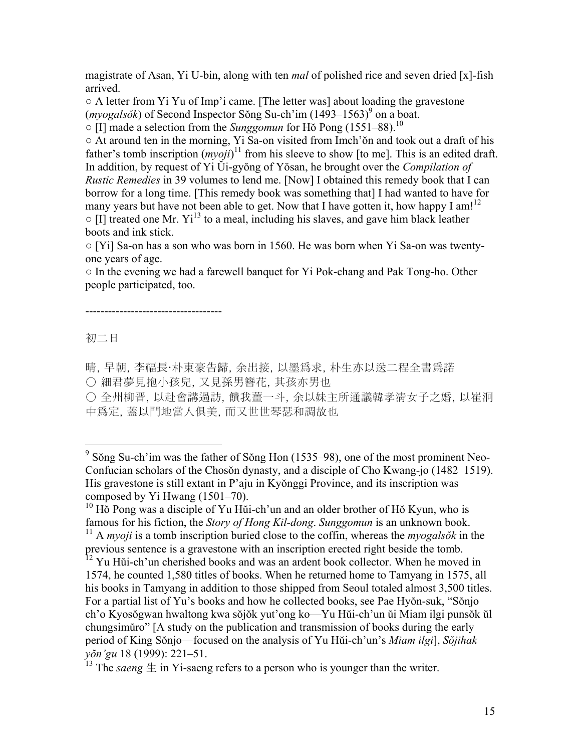magistrate of Asan, Yi U-bin, along with ten *mal* of polished rice and seven dried [x]-fish arrived.

○ A letter from Yi Yu of Imp'i came. [The letter was] about loading the gravestone  $(myogalsók)$  of Second Inspector Sŏng Su-ch'im  $(1493-1563)^9$  on a boat.

○ [I] made a selection from the *Sunggomun* for Hŏ Pong (1551–88).10

 $\circ$  At around ten in the morning, Yi Sa-on visited from Imch'on and took out a draft of his father's tomb inscription  $(myoj)$ <sup>11</sup> from his sleeve to show [to me]. This is an edited draft. In addition, by request of Yi Ŭi-gyŏng of Yŏsan, he brought over the *Compilation of Rustic Remedies* in 39 volumes to lend me. [Now] I obtained this remedy book that I can borrow for a long time. [This remedy book was something that] I had wanted to have for many years but have not been able to get. Now that I have gotten it, how happy I am!<sup>12</sup>  $\circ$  [I] treated one Mr. Yi<sup>13</sup> to a meal, including his slaves, and gave him black leather boots and ink stick.

○ [Yi] Sa-on has a son who was born in 1560. He was born when Yi Sa-on was twentyone years of age.

○ In the evening we had a farewell banquet for Yi Pok-chang and Pak Tong-ho. Other people participated, too.

------------------------------------

初二日

晴, 早朝, 李福長·朴東豪告歸, 余出接, 以墨爲求, 朴生亦以送二程全書爲諾

○ 細君夢見抱小孩兒, 又見孫男簪花, 其孩亦男也

○ 全州柳晋, 以赴會講過訪, 饋我薑一斗, 余以妹主所通議韓孝淸女子之婚, 以崔泂 中爲定, 蓋以門地當人俱美, 而又世世琴瑟和調故也

<sup>&</sup>lt;sup>9</sup> Sŏng Su-ch'im was the father of Sŏng Hon (1535–98), one of the most prominent Neo-Confucian scholars of the Chosŏn dynasty, and a disciple of Cho Kwang-jo (1482–1519). His gravestone is still extant in P'aju in Kyŏnggi Province, and its inscription was composed by Yi Hwang (1501–70).

<sup>&</sup>lt;sup>10</sup> Hŏ Pong was a disciple of Yu Hŭi-ch'un and an older brother of Hŏ Kyun, who is famous for his fiction, the *Story of Hong Kil-dong*. *Sunggomun* is an unknown book.

<sup>11</sup> A *myoji* is a tomb inscription buried close to the coffin, whereas the *myogalsŏk* in the previous sentence is a gravestone with an inscription erected right beside the tomb.

<sup>&</sup>lt;sup>12</sup> Yu Hŭi-ch'un cherished books and was an ardent book collector. When he moved in 1574, he counted 1,580 titles of books. When he returned home to Tamyang in 1575, all his books in Tamyang in addition to those shipped from Seoul totaled almost 3,500 titles. For a partial list of Yu's books and how he collected books, see Pae Hyŏn-suk, "Sŏnjo ch'o Kyosŏgwan hwaltong kwa sŏjŏk yut'ong ko—Yu Hŭi-ch'un ŭi Miam ilgi punsŏk ŭl chungsimŭro" [A study on the publication and transmission of books during the early period of King Sŏnjo—focused on the analysis of Yu Hŭi-ch'un's *Miam ilgi*], *Sŏjihak yŏn'gu* 18 (1999): 221–51.

<sup>&</sup>lt;sup>13</sup> The *saeng*  $\pm$  in Yi-saeng refers to a person who is younger than the writer.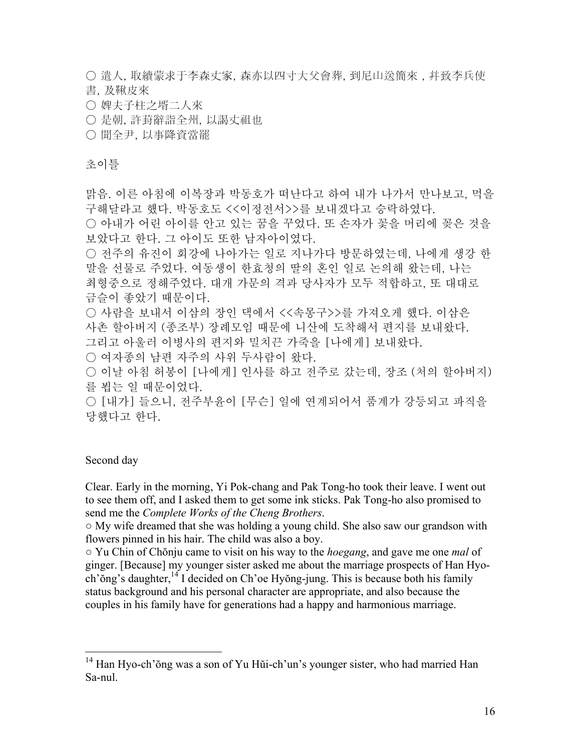○ 遣人, 取續蒙求于李森丈家, 森亦以四寸大父會葬, 到尼山送簡來 , 幷致李兵使 書, 及鞦皮來

- 婢夫子柱之壻二人來
- 是朝, 許葑辭詣全州, 以謁丈祖也
- 聞全尹, 以事降資當罷

#### 초이틀

맑음. 이른 아침에 이복장과 박동호가 떠난다고 하여 내가 나가서 만나보고, 먹을 구해달라고 했다. 박동호도 <<이정전서>>를 보내겠다고 승락하였다. ○ 아내가 어린 아이를 안고 있는 꿈을 꾸었다. 또 손자가 꽃을 머리에 꽂은 것을 보았다고 한다. 그 아이도 또한 남자아이였다. ○ 전주의 유진이 회강에 나아가는 일로 지나가다 방문하였는데, 나에게 생강 한 말을 선물로 주었다. 여동생이 한효청의 딸의 혼인 일로 논의해 왔는데, 나는 최형중으로 정해주었다. 대개 가문의 격과 당사자가 모두 적합하고, 또 대대로 금슬이 좋았기 때문이다. ○ 사람을 보내서 이삼의 장인 댁에서 <<속몽구>>를 가져오게 했다. 이삼은 사촌 할아버지 (종조부) 장례모임 때문에 니산에 도착해서 편지를 보내왔다. 그리고 아울러 이병사의 편지와 밀치끈 가죽을 [나에게] 보내왔다. ○ 여자종의 남편 자주의 사위 두사람이 왔다. ○ 이날 아침 허봉이 [나에게] 인사를 하고 전주로 갔는데, 장조 (처의 할아버지) 를 뵙는 일 때문이었다. ○ [내가] 들으니, 전주부윤이 [무슨] 일에 연계되어서 품계가 강등되고 파직을 당했다고 한다.

## Second day

 $\overline{a}$ 

Clear. Early in the morning, Yi Pok-chang and Pak Tong-ho took their leave. I went out to see them off, and I asked them to get some ink sticks. Pak Tong-ho also promised to send me the *Complete Works of the Cheng Brothers*.

○ My wife dreamed that she was holding a young child. She also saw our grandson with flowers pinned in his hair. The child was also a boy.

○ Yu Chin of Chŏnju came to visit on his way to the *hoegang*, and gave me one *mal* of ginger. [Because] my younger sister asked me about the marriage prospects of Han Hyoch' $\delta$ ng's daughter, <sup>14</sup> I decided on Ch'oe Hyŏng-jung. This is because both his family status background and his personal character are appropriate, and also because the couples in his family have for generations had a happy and harmonious marriage.

<sup>&</sup>lt;sup>14</sup> Han Hyo-ch'ŏng was a son of Yu Hŭi-ch'un's younger sister, who had married Han Sa-nul.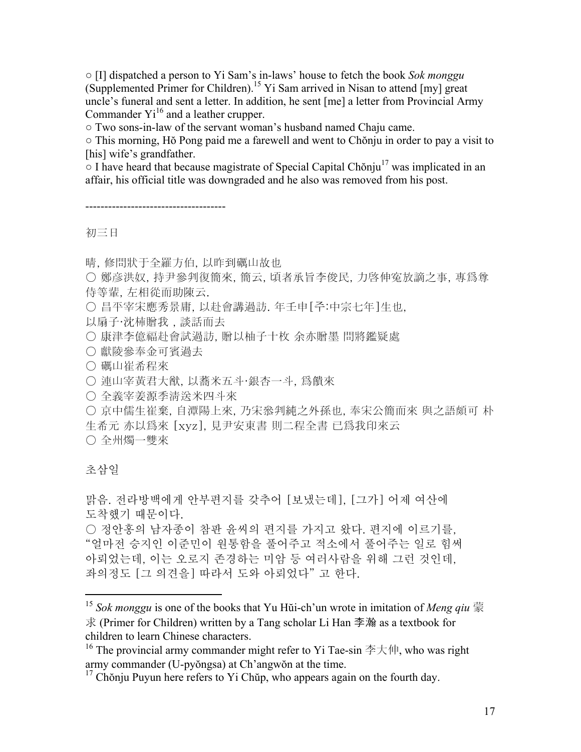○ [I] dispatched a person to Yi Sam's in-laws' house to fetch the book *Sok monggu* (Supplemented Primer for Children).<sup>15</sup> Yi Sam arrived in Nisan to attend [my] great uncle's funeral and sent a letter. In addition, he sent [me] a letter from Provincial Army Commander  $Yi^{16}$  and a leather crupper.

○ Two sons-in-law of the servant woman's husband named Chaju came.

○ This morning, Hŏ Pong paid me a farewell and went to Chŏnju in order to pay a visit to [his] wife's grandfather.

 $\circ$  I have heard that because magistrate of Special Capital Chŏnju<sup>17</sup> was implicated in an affair, his official title was downgraded and he also was removed from his post.

-------------------------------------

初三日

晴, 修問狀于全羅方伯, 以昨到礪山故也

○ 鄭彦洪奴, 持尹參判復簡來, 簡云, 頃者承旨李俊民, 力啓伸寃放謫之事, 專爲尊 侍等輩, 左相從而助陳云.

○ 昌平宰宋應秀景庸, 以赴會講過訪. 年壬申[주:中宗七年]生也,

以扇子·沈枾贈我 , 談話而去

○ 康津李億福赴會試過訪, 贈以柚子十枚 余亦贈墨 問將鑑疑處

○ 獻陵參奉金可賓過去

○ 礪山崔希程來

○ 連山宰黃君大猷, 以蕎米五斗·銀杏一斗, 爲饋來

○ 全義宰姜源季淸送米四斗來

○ 京中儒生崔棄, 自潭陽上來, 乃宋叅判純之外孫也, 奉宋公簡而來 與之語頗可 朴 生希元 亦以爲來 [xyz], 見尹安東書 則二程全書 已爲我印來云 ○ 全州燭一雙來

# 초삼일

 $\overline{a}$ 

맑음. 전라방백에게 안부편지를 갖추어 [보냈는데], [그가] 어제 여산에 도착했기 때문이다. ○ 정안홍의 남자종이 참판 윤씨의 편지를 가지고 왔다. 편지에 이르기를, "얼마전 승지인 이준민이 원통함을 풀어주고 적소에서 풀어주는 일로 힘써 아뢰었는데, 이는 오로지 존경하는 미암 등 여러사람을 위해 그런 것인데, 좌의정도 [그 의견을] 따라서 도와 아뢰었다" 고 한다.

<sup>15</sup> *Sok monggu* is one of the books that Yu Hŭi-ch'un wrote in imitation of *Meng qiu* 蒙 求 (Primer for Children) written by a Tang scholar Li Han 李瀚 as a textbook for children to learn Chinese characters.

<sup>&</sup>lt;sup>16</sup> The provincial army commander might refer to Yi Tae-sin  $\ddot{\hat{\phi}}$   $\ddot{\uparrow}$   $\hat{\uparrow}$  who was right army commander (U-pyŏngsa) at Ch'angwŏn at the time.

 $17$  Chŏnju Puyun here refers to Yi Chŭp, who appears again on the fourth day.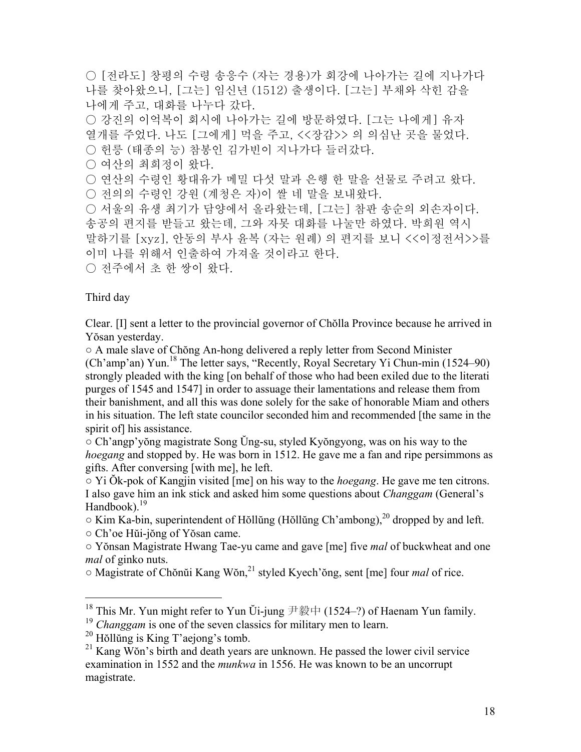○ [전라도] 창평의 수령 송응수 (자는 경용)가 회강에 나아가는 길에 지나가다 나를 찾아왔으니, [그는] 임신년 (1512) 출생이다. [그는] 부채와 삭힌 감을 나에게 주고, 대화를 나누다 갔다. ○ 강진의 이억복이 회시에 나아가는 길에 방문하였다. [그는 나에게] 유자 열개를 주었다. 나도 [그에게] 먹을 주고, <<장감>> 의 의심난 곳을 물었다. ○ 헌릉 (태종의 능) 참봉인 김가빈이 지나가다 들러갔다. ○ 여산의 최희정이 왔다. ○ 연산의 수령인 황대유가 메밀 다섯 말과 은행 한 말을 선물로 주려고 왔다. ○ 전의의 수령인 강원 (계청은 자)이 쌀 네 말을 보내왔다. ○ 서울의 유생 최기가 담양에서 올라왔는데, [그는] 참판 송순의 외손자이다. 송공의 편지를 받들고 왔는데, 그와 자못 대화를 나눌만 하였다. 박희원 역시 말하기를 [xyz], 안동의 부사 윤복 (자는 원례) 의 편지를 보니 <<이정전서>>를 이미 나를 위해서 인출하여 가져올 것이라고 한다. ○ 전주에서 초 한 쌍이 왔다.

Third day

 $\overline{a}$ 

Clear. [I] sent a letter to the provincial governor of Chŏlla Province because he arrived in Yŏsan yesterday.

○ A male slave of Chŏng An-hong delivered a reply letter from Second Minister (Ch'amp'an) Yun.<sup>18</sup> The letter says, "Recently, Royal Secretary Yi Chun-min (1524–90) strongly pleaded with the king [on behalf of those who had been exiled due to the literati purges of 1545 and 1547] in order to assuage their lamentations and release them from their banishment, and all this was done solely for the sake of honorable Miam and others in his situation. The left state councilor seconded him and recommended [the same in the spirit of] his assistance.

○ Ch'angp'yŏng magistrate Song Ŭng-su, styled Kyŏngyong, was on his way to the *hoegang* and stopped by. He was born in 1512. He gave me a fan and ripe persimmons as gifts. After conversing [with me], he left.

○ Yi Ŏk-pok of Kangjin visited [me] on his way to the *hoegang*. He gave me ten citrons. I also gave him an ink stick and asked him some questions about *Changgam* (General's Handbook). $^{19}$ 

 $\circ$  Kim Ka-bin, superintendent of Hŏllŭng (Hŏllŭng Ch'ambong),<sup>20</sup> dropped by and left. ○ Ch'oe Hŭi-jŏng of Yŏsan came.

○ Yŏnsan Magistrate Hwang Tae-yu came and gave [me] five *mal* of buckwheat and one *mal* of ginko nuts.

○ Magistrate of Chŏnŭi Kang Wŏn,21 styled Kyech'ŏng, sent [me] four *mal* of rice.

<sup>&</sup>lt;sup>18</sup> This Mr. Yun might refer to Yun Ŭi-jung 尹毅中 (1524–?) of Haenam Yun family.

<sup>&</sup>lt;sup>19</sup> *Changgam* is one of the seven classics for military men to learn.

 $20$  Hŏllŭng is King T'aejong's tomb.

 $21$  Kang Wŏn's birth and death years are unknown. He passed the lower civil service examination in 1552 and the *munkwa* in 1556. He was known to be an uncorrupt magistrate.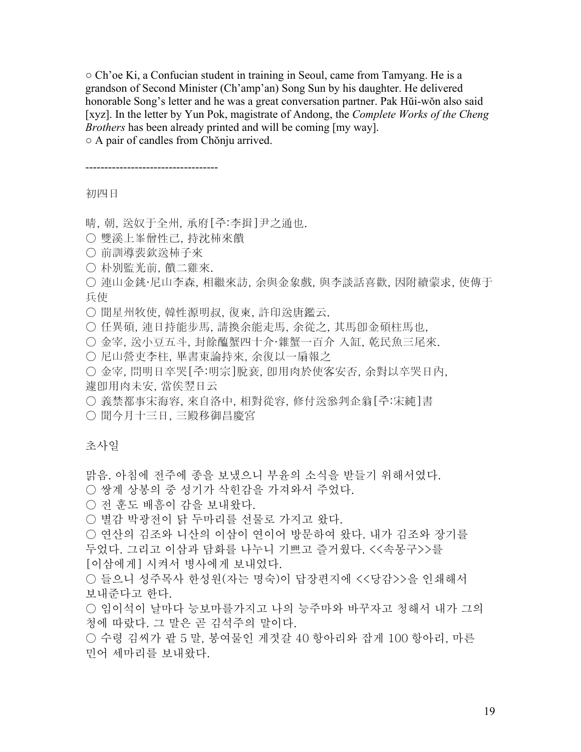$\circ$  Ch'oe Ki, a Confucian student in training in Seoul, came from Tamyang. He is a grandson of Second Minister (Ch'amp'an) Song Sun by his daughter. He delivered honorable Song's letter and he was a great conversation partner. Pak Hŭi-wŏn also said [xyz]. In the letter by Yun Pok, magistrate of Andong, the *Complete Works of the Cheng Brothers* has been already printed and will be coming [my way]. ○ A pair of candles from Chŏnju arrived.

-----------------------------------

初四日

晴, 朝, 送奴于全州, 承府[주:李揖]尹之通也.

- 雙溪上峯僧性己, 持沈枾來饋
- 前訓導裴欽送枾子來
- 朴別監光前, 饋二雞來.
- 連山金銚·尼山李森, 相繼來訪, 余與金象戲, 與李談話喜歡, 因附續蒙求, 使傳于 兵使
- 聞星州牧使, 韓性源明叔, 復柬, 許印送唐鑑云.
- 任異碩, 連日持能步馬, 請換余能走馬, 余從之, 其馬卽金碩柱馬也,
- 金宰, 送小豆五斗, 封餘醢蟹四十介·雜蟹一百介 入缸, 乾民魚三尾來.
- 尼山營吏李柱, 畢書東論持來, 余復以一扇報之
- 金宰, 問明日卒哭[주:明宗]脫衰, 卽用肉於使客安否, 余對以卒哭日內, 遽卽用肉未安, 當俟翌日云
- 義禁都事宋海容, 來自洛中, 相對從容, 修付送叅判企翁[주:宋純]書

○ 聞今月十三日, 三殿移御昌慶宮

#### 초사일

맑음. 아침에 전주에 종을 보냈으니 부윤의 소식을 받들기 위해서였다.

- 쌍계 상봉의 중 성기가 삭힌감을 가져와서 주었다.
- 전 훈도 배흠이 감을 보내왔다.
- 별감 박광전이 닭 두마리를 선물로 가지고 왔다.
- 연산의 김조와 니산의 이삼이 연이어 방문하여 왔다. 내가 김조와 장기를 두었다. 그리고 이삼과 담화를 나누니 기쁘고 즐거웠다. <<속몽구>>를
- [이삼에게] 시켜서 병사에게 보내었다.
- 들으니 성주목사 한성원(자는 명숙)이 답장편지에 <<당감>>을 인쇄해서 보내준다고 한다.
- 임이석이 날마다 능보마를가지고 나의 능주마와 바꾸자고 청해서 내가 그의 청에 따랐다. 그 말은 곧 김석주의 말이다.
- 수령 김씨가 팥 5 말, 봉여물인 게젓갈 40 항아리와 잡게 100 항아리, 마른 민어 세마리를 보내왔다.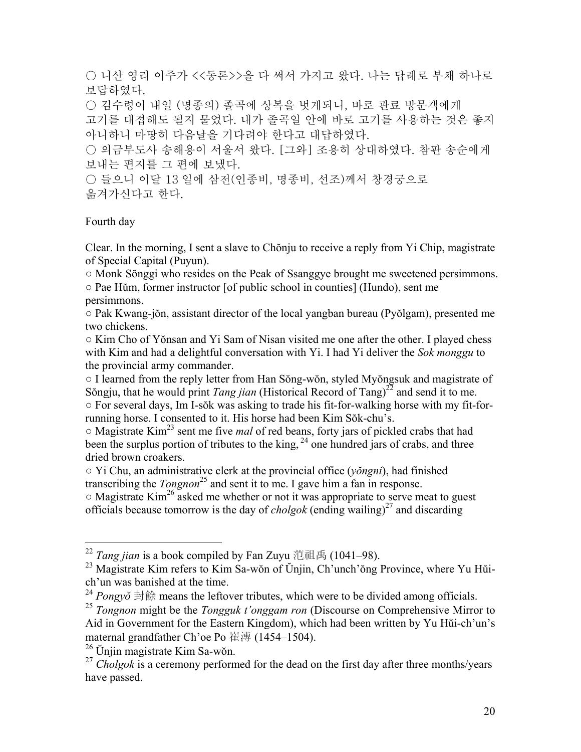○ 니산 영리 이주가 <<동론>>을 다 써서 가지고 왔다. 나는 답례로 부채 하나로 보답하였다.

○ 김수령이 내일 (명종의) 졸곡에 상복을 벗게되니, 바로 관료 방문객에게

고기를 대접해도 될지 물었다. 내가 졸곡일 안에 바로 고기를 사용하는 것은 좋지 아니하니 마땅히 다음날을 기다려야 한다고 대답하였다.

○ 의금부도사 송해용이 서울서 왔다. [그와] 조용히 상대하였다. 참판 송순에게 보내는 편지를 그 편에 보냈다.

○ 들으니 이달 13 일에 삼전(인종비, 명종비, 선조)께서 창경궁으로 옮겨가신다고 한다.

# Fourth day

1

Clear. In the morning, I sent a slave to Chŏnju to receive a reply from Yi Chip, magistrate of Special Capital (Puyun).

○ Monk Sŏnggi who resides on the Peak of Ssanggye brought me sweetened persimmons.

○ Pae Hŭm, former instructor [of public school in counties] (Hundo), sent me persimmons.

○ Pak Kwang-jŏn, assistant director of the local yangban bureau (Pyŏlgam), presented me two chickens.

○ Kim Cho of Yŏnsan and Yi Sam of Nisan visited me one after the other. I played chess with Kim and had a delightful conversation with Yi. I had Yi deliver the *Sok monggu* to the provincial army commander.

○ I learned from the reply letter from Han Sŏng-wŏn, styled Myŏngsuk and magistrate of Sŏngju, that he would print *Tang jian* (Historical Record of Tang)<sup>22</sup> and send it to me. ○ For several days, Im I-sŏk was asking to trade his fit-for-walking horse with my fit-forrunning horse. I consented to it. His horse had been Kim Sŏk-chu's.

○ Magistrate Kim23 sent me five *mal* of red beans, forty jars of pickled crabs that had been the surplus portion of tributes to the king,  $^{24}$  one hundred jars of crabs, and three dried brown croakers.

○ Yi Chu, an administrative clerk at the provincial office (*yŏngni*), had finished transcribing the *Tongnon*<sup>25</sup> and sent it to me. I gave him a fan in response.

 $\circ$  Magistrate Kim<sup>26</sup> asked me whether or not it was appropriate to serve meat to guest officials because tomorrow is the day of *cholgok* (ending wailing)<sup>27</sup> and discarding

<sup>&</sup>lt;sup>22</sup> *Tang jian* is a book compiled by Fan Zuyu 范祖禹 (1041–98).

<sup>&</sup>lt;sup>23</sup> Magistrate Kim refers to Kim Sa-wŏn of Ŭnjin, Ch'unch'ŏng Province, where Yu Hŭich'un was banished at the time.

<sup>24</sup> *Pongyŏ* 封餘 means the leftover tributes, which were to be divided among officials.

<sup>25</sup> *Tongnon* might be the *Tongguk t'onggam ron* (Discourse on Comprehensive Mirror to Aid in Government for the Eastern Kingdom), which had been written by Yu Hŭi-ch'un's maternal grandfather Ch'oe Po 崔溥 (1454–1504).

<sup>26</sup> Ŭnjin magistrate Kim Sa-wŏn.

<sup>&</sup>lt;sup>27</sup> *Cholgok* is a ceremony performed for the dead on the first day after three months/years have passed.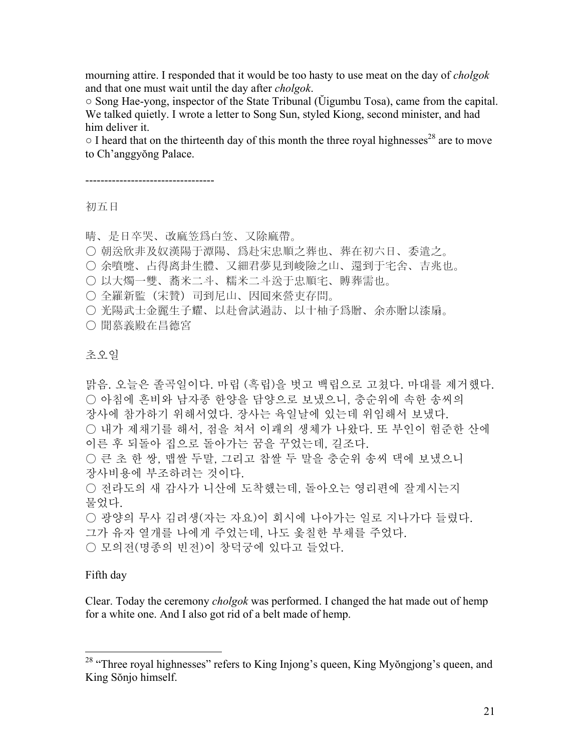mourning attire. I responded that it would be too hasty to use meat on the day of *cholgok* and that one must wait until the day after *cholgok*.

○ Song Hae-yong, inspector of the State Tribunal (Ŭigumbu Tosa), came from the capital. We talked quietly. I wrote a letter to Song Sun, styled Kiong, second minister, and had him deliver it.

 $\circ$  I heard that on the thirteenth day of this month the three royal highnesses<sup>28</sup> are to move to Ch'anggyŏng Palace.

----------------------------------

#### 初五日

晴、是日卒哭、改麻笠爲白笠、又除麻帶。

- 朝送欣非及奴漢陽于潭陽、爲赴宋忠順之葬也、葬在初六日、委遣之。
- 余噴嚏、占得离卦生體、又細君夢見到峻險之山、還到于宅舍、吉兆也。
- 以大燭一雙、蕎米二斗、糯米二斗送于忠順宅、賻葬需也。

○ 全羅新監(宋贊)司到尼山、因囘來營吏存問。

○ 光陽武士金麗生子耀、以赴會試過訪、以十柚子爲贈、余亦贈以漆扇。

○ 聞慕義殿在昌德宮

## 초오일

맑음. 오늘은 졸곡일이다. 마립 (흑립)을 벗고 백립으로 고쳤다. 마대를 제거했다. ○ 아침에 흔비와 남자종 한양을 담양으로 보냈으니, 충순위에 속한 송씨의 장사에 참가하기 위해서였다. 장사는 육일날에 있는데 위임해서 보냈다. ○ 내가 제채기를 해서, 점을 쳐서 이괘의 생체가 나왔다. 또 부인이 험준한 산에 이른 후 되돌아 집으로 돌아가는 꿈을 꾸었는데, 길조다. ○ 큰 초 한 쌍, 맵쌀 두말, 그리고 찹쌀 두 말을 충순위 송씨 댁에 보냈으니 장사비용에 부조하려는 것이다. ○ 전라도의 새 감사가 니산에 도착했는데, 돌아오는 영리편에 잘계시는지 물었다. ○ 광양의 무사 김려생(자는 자요)이 회시에 나아가는 일로 지나가다 들렸다. 그가 유자 열개를 나에게 주었는데, 나도 옻칠한 부채를 주었다.

○ 모의전(명종의 빈전)이 창덕궁에 있다고 들었다.

#### Fifth day

 $\overline{a}$ 

Clear. Today the ceremony *cholgok* was performed. I changed the hat made out of hemp for a white one. And I also got rid of a belt made of hemp.

<sup>&</sup>lt;sup>28</sup> "Three royal highnesses" refers to King Injong's queen, King Myŏngjong's queen, and King Sŏnjo himself.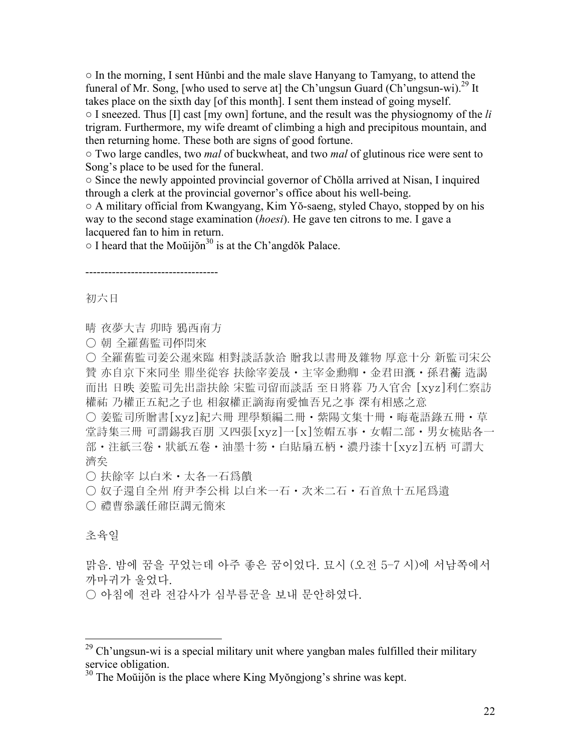○ In the morning, I sent Hŭnbi and the male slave Hanyang to Tamyang, to attend the funeral of Mr. Song, [who used to serve at] the Ch'ungsun Guard (Ch'ungsun-wi).<sup>29</sup> It takes place on the sixth day [of this month]. I sent them instead of going myself.

○ I sneezed. Thus [I] cast [my own] fortune, and the result was the physiognomy of the *li*  trigram. Furthermore, my wife dreamt of climbing a high and precipitous mountain, and then returning home. These both are signs of good fortune.

○ Two large candles, two *mal* of buckwheat, and two *mal* of glutinous rice were sent to Song's place to be used for the funeral.

○ Since the newly appointed provincial governor of Chŏlla arrived at Nisan, I inquired through a clerk at the provincial governor's office about his well-being.

○ A military official from Kwangyang, Kim Yŏ-saeng, styled Chayo, stopped by on his way to the second stage examination (*hoesi*). He gave ten citrons to me. I gave a lacquered fan to him in return.

 $\circ$  I heard that the Moŭijŏn<sup>30</sup> is at the Ch'angdŏk Palace.

-----------------------------------

初六日

晴 夜夢大吉 卯時 鴉西南方

○ 朝 全羅舊監司伻問來

○ 全羅舊監司姜公暹來臨 相對談話款洽 贈我以書冊及雜物 厚意十分 新監司宋公 贊 亦自京下來同坐 鼎坐從容 扶餘宰姜晟・主宰金勳卿・金君田漑・孫君蘅 造謁 而出 日昳 姜監司先出詣扶餘 宋監司留而談話 至日將暮 乃入官舍 [xyz]利仁察訪 權祐 乃權正五紀之子也 相叙權正謫海南愛恤吾兄之事 深有相感之意

○ 姜監司所贈書[xyz]紀六冊 理學類編二冊・紫陽文集十冊・晦菴語錄五冊・草 堂詩集三冊 可謂錫我百朋 又四張[xyz]一[x]笠帽五事・女帽二部・男女梳貼各一 部・注紙三卷・狀紙五卷・油墨十笏・白貼扇五柄・濃丹漆十[xyz]五柄 可謂大 濟矣

○ 扶餘宰 以白米・太各一石爲饋

○ 奴子還自全州 府尹李公楫 以白米一石・次米二石・石首魚十五尾爲遺

○ 禮曹叅議任鼐臣調元簡來

## 초육일

1

맑음. 밤에 꿈을 꾸었는데 아주 좋은 꿈이었다. 묘시 (오전 5–7 시)에 서남쪽에서 까마귀가 울었다.

○ 아침에 전라 전감사가 심부름꾼을 보내 문안하였다.

 $29$  Ch'ungsun-wi is a special military unit where yangban males fulfilled their military service obligation.

 $30$  The Moŭijon is the place where King Myongjong's shrine was kept.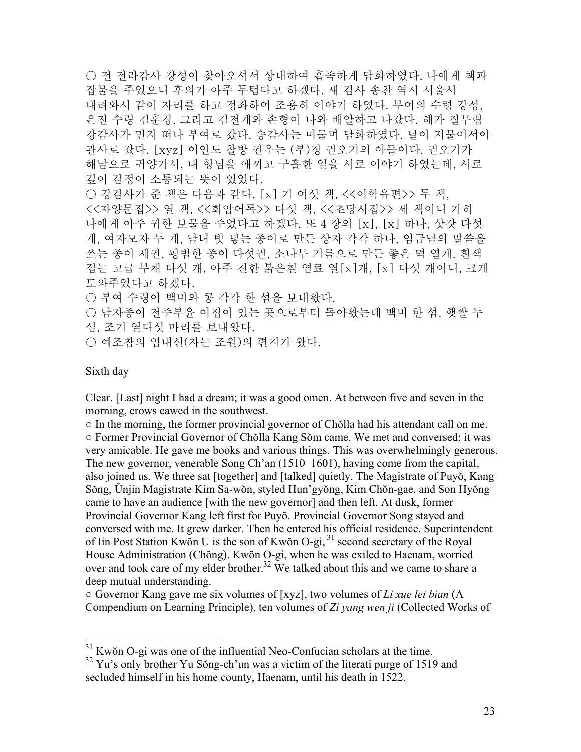○ 전 전라감사 강성이 찾아오셔서 상대하여 흡족하게 담화하였다. 나에게 책과 잡물을 주었으니 후의가 아주 두텁다고 하겠다. 새 감사 송찬 역시 서울서 내려와서 같이 자리를 하고 정좌하여 조용히 이야기 하였다. 부여의 수령 강성, 은진 수령 김훈경, 그리고 김전개와 손형이 나와 배알하고 나갔다. 해가 질무렵 강감사가 먼저 떠나 부여로 갔다. 송감사는 머물며 담화하였다. 날이 저물어서야 관사로 갔다. [xyz] 이인도 찰방 권우는 (부)정 권오기의 아들이다. 권오기가 해남으로 귀양가서, 내 형님을 애끼고 구휼한 일을 서로 이야기 하였는데, 서로 깊이 감정이 소통되는 뜻이 있었다. ○ 강감사가 준 책은 다음과 같다. [x] 기 여섯 책, <<이학유편>> 두 책, <<자양문집>> 열 책, <<회암어록>> 다섯 책, <<초당시집>> 세 책이니 가히 나에게 아주 귀한 보물을 주었다고 하겠다. 또 4 장의 [x], [x] 하나, 삿갓 다섯 개, 여자모자 두 개, 남녀 빗 넣는 종이로 만든 상자 각각 하나, 임금님의 말씀을 쓰는 종이 세권, 평범한 종이 다섯권, 소나무 기름으로 만든 좋은 먹 열개, 흰색 접는 고급 부채 다섯 개, 아주 진한 붉은칠 염료 열[x]개, [x] 다섯 개이니, 크게 도와주었다고 하겠다.

○ 부여 수령이 백미와 콩 각각 한 섬을 보내왔다.

○ 남자종이 전주부윤 이집이 있는 곳으로부터 돌아왔는데 백미 한 섬, 햇쌀 두 섬, 조기 열다섯 마리를 보내왔다.

○ 예조참의 임내신(자는 조원)의 편지가 왔다.

## Sixth day

 $\overline{a}$ 

Clear. [Last] night I had a dream; it was a good omen. At between five and seven in the morning, crows cawed in the southwest.

○ In the morning, the former provincial governor of Chŏlla had his attendant call on me. ○ Former Provincial Governor of Chŏlla Kang Sŏm came. We met and conversed; it was very amicable. He gave me books and various things. This was overwhelmingly generous. The new governor, venerable Song Ch'an (1510–1601), having come from the capital, also joined us. We three sat [together] and [talked] quietly. The Magistrate of Puyŏ, Kang Sŏng, Ŭnjin Magistrate Kim Sa-wŏn, styled Hun'gyŏng, Kim Chŏn-gae, and Son Hyŏng came to have an audience [with the new governor] and then left. At dusk, former Provincial Governor Kang left first for Puyŏ. Provincial Governor Song stayed and conversed with me. It grew darker. Then he entered his official residence. Superintendent of Iin Post Station Kwŏn U is the son of Kwŏn O-gi, 31 second secretary of the Royal House Administration (Chŏng). Kwŏn O-gi, when he was exiled to Haenam, worried over and took care of my elder brother.<sup>32</sup> We talked about this and we came to share a deep mutual understanding.

○ Governor Kang gave me six volumes of [xyz], two volumes of *Li xue lei bian* (A Compendium on Learning Principle), ten volumes of *Zi yang wen ji* (Collected Works of

 $31$  Kwŏn O-gi was one of the influential Neo-Confucian scholars at the time.

 $32$  Yu's only brother Yu Sŏng-ch'un was a victim of the literati purge of 1519 and secluded himself in his home county, Haenam, until his death in 1522.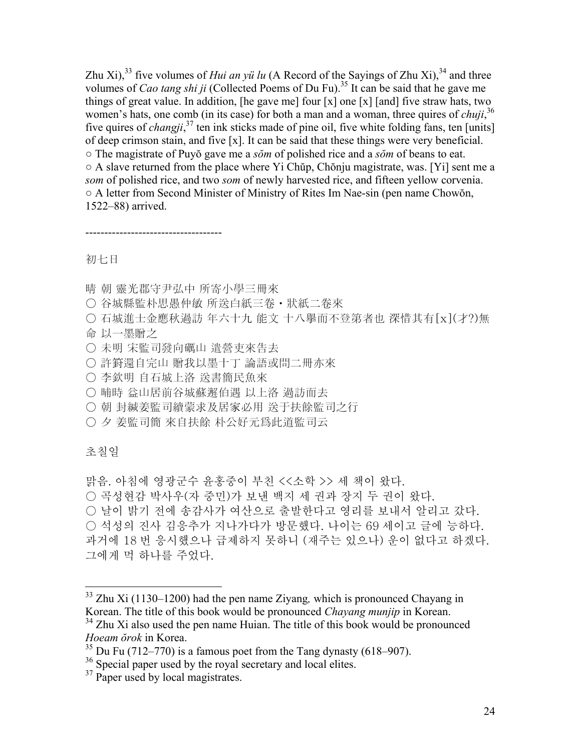Zhu Xi),<sup>33</sup> five volumes of *Hui an yü lu* (A Record of the Sayings of Zhu Xi),<sup>34</sup> and three volumes of *Cao tang shi ji* (Collected Poems of Du Fu).<sup>35</sup> It can be said that he gave me things of great value. In addition, [he gave me] four  $[x]$  one  $[x]$  [and] five straw hats, two women's hats, one comb (in its case) for both a man and a woman, three quires of *chuji*, 36 five quires of *changji*,<sup>37</sup> ten ink sticks made of pine oil, five white folding fans, ten [units] of deep crimson stain, and five [x]. It can be said that these things were very beneficial. ○ The magistrate of Puyŏ gave me a *sŏm* of polished rice and a *sŏm* of beans to eat. ○ A slave returned from the place where Yi Chŭp, Chŏnju magistrate, was. [Yi] sent me a *som* of polished rice, and two *som* of newly harvested rice, and fifteen yellow corvenia. ○ A letter from Second Minister of Ministry of Rites Im Nae-sin (pen name Chowŏn, 1522–88) arrived.

------------------------------------

初七日

- 晴 朝 靈光郡守尹弘中 所寄小學三冊來
- 谷城縣監朴思愚仲敏 所送白紙三卷・狀紙二卷來
- 石城進士金應秋過訪 年六十九 能文 十八擧而不登第者也 深惜其有[x](才?)無
- 命 以一墨贈之
- 未明 宋監司發向礪山 遣營吏來告去
- 許篈還自完山 贈我以墨十丁 論語或問二冊亦來
- 李欽明 自石城上洛 送書簡民魚來
- 晡時 益山居前谷城蘇邂伯遇 以上洛 過訪而去
- 朝 封緘姜監司續蒙求及居家必用 送于扶餘監司之行
- 夕 姜監司簡 來自扶餘 朴公好元爲此道監司云

초칠일

 $\overline{a}$ 

맑음. 아침에 영광군수 윤홍중이 부친 <<소학 >> 세 책이 왔다. ○ 곡성현감 박사우(자 중민)가 보낸 백지 세 권과 장지 두 권이 왔다. ○ 날이 밝기 전에 송감사가 여산으로 출발한다고 영리를 보내서 알리고 갔다.

○ 석성의 진사 김응추가 지나가다가 방문했다. 나이는 69 세이고 글에 능하다. 과거에 18 번 응시했으나 급제하지 못하니 (재주는 있으나) 운이 없다고 하겠다. 그에게 먹 하나를 주었다.

<sup>33</sup> Zhu Xi (1130–1200) had the pen name Ziyang*,* which is pronounced Chayang in Korean. The title of this book would be pronounced *Chayang munjip* in Korean.

<sup>&</sup>lt;sup>34</sup> Zhu Xi also used the pen name Huian. The title of this book would be pronounced *Hoeam ŏrok* in Korea.

 $35$  Du Fu (712–770) is a famous poet from the Tang dynasty (618–907).

<sup>&</sup>lt;sup>36</sup> Special paper used by the royal secretary and local elites.

<sup>&</sup>lt;sup>37</sup> Paper used by local magistrates.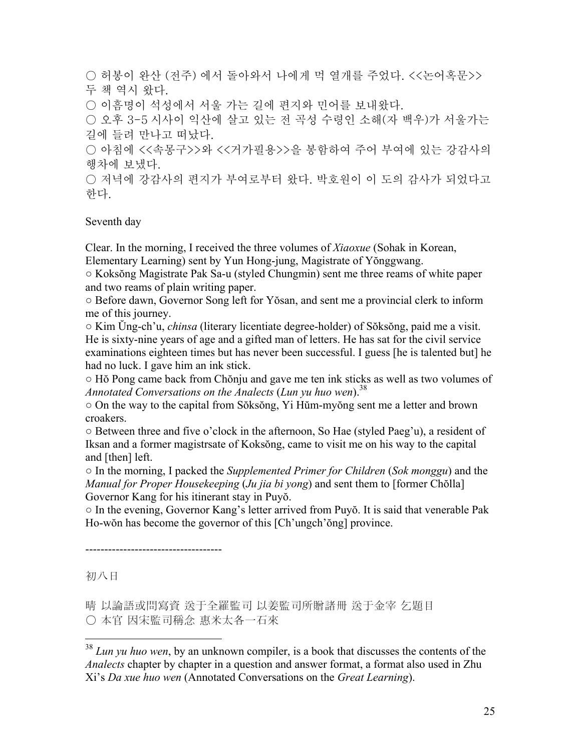○ 허봉이 완산 (전주) 에서 돌아와서 나에게 먹 열개를 주었다. <<논어혹문>> 두 책 역시 왔다. ○ 이흠명이 석성에서 서울 가는 길에 편지와 민어를 보내왔다. ○ 오후 3-5 시사이 익산에 살고 있는 전 곡성 수령인 소해(자 백우)가 서울가는 길에 들려 만나고 떠났다. ○ 아침에 <<속몽구>>와 <<거가필용>>을 봉함하여 주어 부여에 있는 강감사의 행차에 보냈다.

○ 저녁에 강감사의 편지가 부여로부터 왔다. 박호워이 이 도의 감사가 되었다고 한다.

Seventh day

Clear. In the morning, I received the three volumes of *Xiaoxue* (Sohak in Korean, Elementary Learning) sent by Yun Hong-jung, Magistrate of Yŏnggwang.

○ Koksŏng Magistrate Pak Sa-u (styled Chungmin) sent me three reams of white paper and two reams of plain writing paper.

○ Before dawn, Governor Song left for Yŏsan, and sent me a provincial clerk to inform me of this journey.

○ Kim Ŭng-ch'u, *chinsa* (literary licentiate degree-holder) of Sŏksŏng, paid me a visit. He is sixty-nine years of age and a gifted man of letters. He has sat for the civil service examinations eighteen times but has never been successful. I guess [he is talented but] he had no luck. I gave him an ink stick.

○ Hŏ Pong came back from Chŏnju and gave me ten ink sticks as well as two volumes of *Annotated Conversations on the Analects (Lun yu huo wen).*<sup>38</sup>

○ On the way to the capital from Sŏksŏng, Yi Hŭm-myŏng sent me a letter and brown croakers.

○ Between three and five o'clock in the afternoon, So Hae (styled Paeg'u), a resident of Iksan and a former magistrsate of Koksŏng, came to visit me on his way to the capital and [then] left.

○ In the morning, I packed the *Supplemented Primer for Children* (*Sok monggu*) and the *Manual for Proper Housekeeping* (*Ju jia bi yong*) and sent them to [former Chŏlla] Governor Kang for his itinerant stay in Puyŏ.

○ In the evening, Governor Kang's letter arrived from Puyŏ. It is said that venerable Pak Ho-wŏn has become the governor of this [Ch'ungch'ŏng] province.

------------------------------------

初八日

 $\overline{a}$ 

晴 以論語或問寫資 送于全羅監司 以姜監司所贈諸冊 送于金宰 乞題目 ○ 本官 因宋監司稱念 惠米太各一石來

<sup>38</sup> *Lun yu huo wen*, by an unknown compiler, is a book that discusses the contents of the *Analects* chapter by chapter in a question and answer format, a format also used in Zhu Xi's *Da xue huo wen* (Annotated Conversations on the *Great Learning*).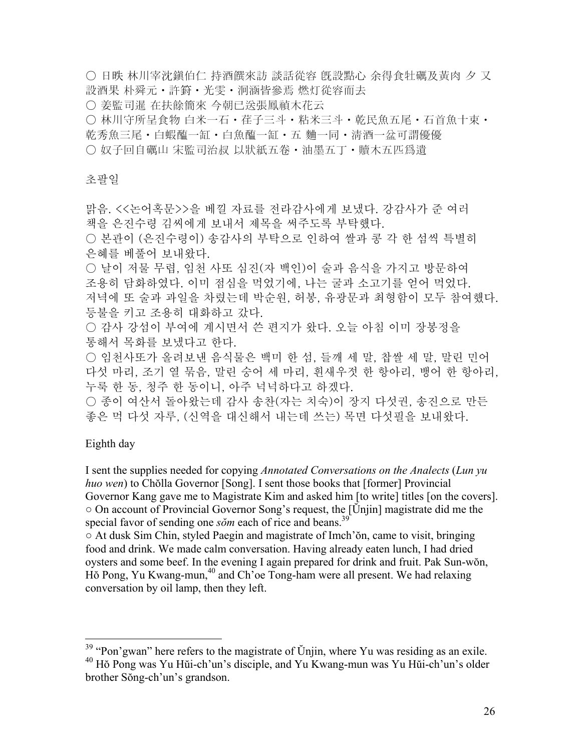○ 日昳 林川宰沈鎭伯仁 持酒饌來訪 談話從容 旣設點心 余得食牡礪及黃肉 夕 又 設酒果 朴舜元・許篈・光雯・泂涵皆參焉 燃灯從容而去

○ 姜監司暹 在扶餘簡來 今朝已送張鳳禎木花云

○ 林川守所呈食物 白米一石・荏子三斗・粘米三斗・乾民魚五尾・石首魚十束・ 乾秀魚三尾・白蝦醢一缸・白魚醢一缸・五 麯一同・淸酒一盆可謂優優 ○ 奴子回自礪山 宋監司治叔 以狀紙五卷・油墨五丁・贖木五匹爲遺

# 초팔일

맑음. <<논어혹문>>을 베낄 자료를 전라감사에게 보냈다. 강감사가 준 여러 책을 은진수령 김씨에게 보내서 제목을 써주도록 부탁했다. ○ 본관이 (은진수령이) 송감사의 부탁으로 인하여 쌀과 콩 각 한 섬씩 특별히 은혜를 베풀어 보내왔다. ○ 날이 저물 무렵, 임천 사또 심진(자 백인)이 술과 음식을 가지고 방문하여 조용히 담화하였다. 이미 점심을 먹었기에, 나는 굴과 소고기를 얻어 먹었다. 저녁에 또 술과 과일을 차렸는데 박순원, 허봉, 유광문과 최형함이 모두 참여했다. 등불을 키고 조용히 대화하고 갔다. ○ 감사 강섬이 부여에 계시면서 쓴 편지가 왔다. 오늘 아침 이미 장봉정을 통해서 목화를 보냈다고 한다.

○ 임천사또가 올려보낸 음식물은 백미 한 섬, 들깨 세 말, 찹쌀 세 말, 말린 민어 다섯 마리, 조기 열 묶음, 말린 숭어 세 마리, 흰새우젓 한 항아리, 뱅어 한 항아리, 누룩 한 동, 청주 한 동이니, 아주 넉넉하다고 하겠다.

○ 종이 여산서 돌아왔는데 감사 송찬(자는 치숙)이 장지 다섯권, 송진으로 만든 좋은 먹 다섯 자루, (신역을 대신해서 내는데 쓰는) 목면 다섯필을 보내왔다.

# Eighth day

1

I sent the supplies needed for copying *Annotated Conversations on the Analects* (*Lun yu huo wen*) to Chŏlla Governor [Song]. I sent those books that [former] Provincial Governor Kang gave me to Magistrate Kim and asked him [to write] titles [on the covers]. ○ On account of Provincial Governor Song's request, the [Ŭnjin] magistrate did me the special favor of sending one *sŏm* each of rice and beans.<sup>39</sup>

 $\circ$  At dusk Sim Chin, styled Paegin and magistrate of Imch'on, came to visit, bringing food and drink. We made calm conversation. Having already eaten lunch, I had dried oysters and some beef. In the evening I again prepared for drink and fruit. Pak Sun-wŏn, Hŏ Pong, Yu Kwang-mun,<sup>40</sup> and Ch'oe Tong-ham were all present. We had relaxing conversation by oil lamp, then they left.

 $39$  "Pon'gwan" here refers to the magistrate of Ŭnjin, where Yu was residing as an exile. 40 Hŏ Pong was Yu Hŭi-ch'un's disciple, and Yu Kwang-mun was Yu Hŭi-ch'un's older brother Sŏng-ch'un's grandson.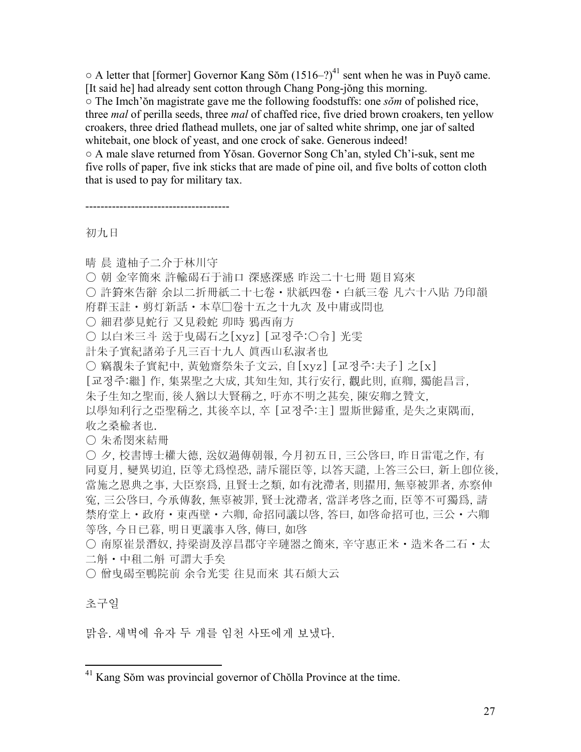$\circ$  A letter that [former] Governor Kang Sŏm (1516–?)<sup>41</sup> sent when he was in Puyŏ came. [It said he] had already sent cotton through Chang Pong-jŏng this morning.

○ The Imch'ŏn magistrate gave me the following foodstuffs: one *sŏm* of polished rice, three *mal* of perilla seeds, three *mal* of chaffed rice, five dried brown croakers, ten yellow croakers, three dried flathead mullets, one jar of salted white shrimp, one jar of salted whitebait, one block of yeast, and one crock of sake. Generous indeed!

○ A male slave returned from Yŏsan. Governor Song Ch'an, styled Ch'i-suk, sent me five rolls of paper, five ink sticks that are made of pine oil, and five bolts of cotton cloth that is used to pay for military tax.

初九日

晴 晨 遺柚子二介于林川守

--------------------------------------

- 朝 金宰簡來 許輸碣石于浦口 深感深感 昨送二十七冊 題目寫來
- 許篈來告辭 余以二折冊紙二十七卷 狀紙四卷 白紙三卷 凡六十八貼 乃印韻
- 府群玉註・剪灯新話・本草□卷十五之十九次 及中庸或問也
- 細君夢見蛇行 又見殺蛇 卯時 鴉西南方
- 以白米三斗 送于曳碣石之[xyz] [교정주:○令] 光雯
- 計朱子實紀諸弟子凡三百十九人 眞西山私淑者也
- 竊覩朱子實紀中, 黃勉齋祭朱子文云, 自[xyz] [교정주:夫子] 之[x]
- [교정주:繼] 作, 集累聖之大成, 其知生知, 其行安行, 觀此則, 直卿, 獨能昌言,
- 朱子生知之聖而, 後人猶以大賢稱之, 吁亦不明之甚矣, 陳安卿之贊文,

以學知利行之亞聖稱之, 其後卒以, 卒 [교정주:主] 盟斯世歸重, 是失之東隅而, 收之桑楡者也.

○ 朱希閔來結冊

○ 夕, 校書博士權大德, 送奴過傳朝報, 今月初五日, 三公啓曰, 昨日雷電之作, 有 同夏月, 變異切迫, 臣等尤爲惶恐, 請斥罷臣等, 以答天譴, 上答三公曰, 新上卽位後, 當施之恩典之事, 大臣察爲, 且賢士之類, 如有沈滯者, 則擢用, 無辜被罪者, 亦察伸 寃, 三公啓曰, 今承傳敎, 無辜被罪, 賢士沈滯者, 當詳考啓之而, 臣等不可獨爲, 請 禁府堂上・政府・東西壁・六卿, 命招同議以啓, 答曰, 如啓命招可也, 三公・六卿 等啓, 今日已暮, 明日更議事入啓, 傳曰, 如啓

○ 南原崔景潛奴, 持梁澍及淳昌郡守辛璉器之簡來, 辛守惠正米・造米各二石・太 二斛・中租二斛 可謂大手矣

○ 僧曳碣至鴨院前 余令光雯 往見而來 其石頗大云

초구일

<u>.</u>

맑음. 새벽에 유자 두 개를 임천 사또에게 보냈다.

 $41$  Kang Sŏm was provincial governor of Chŏlla Province at the time.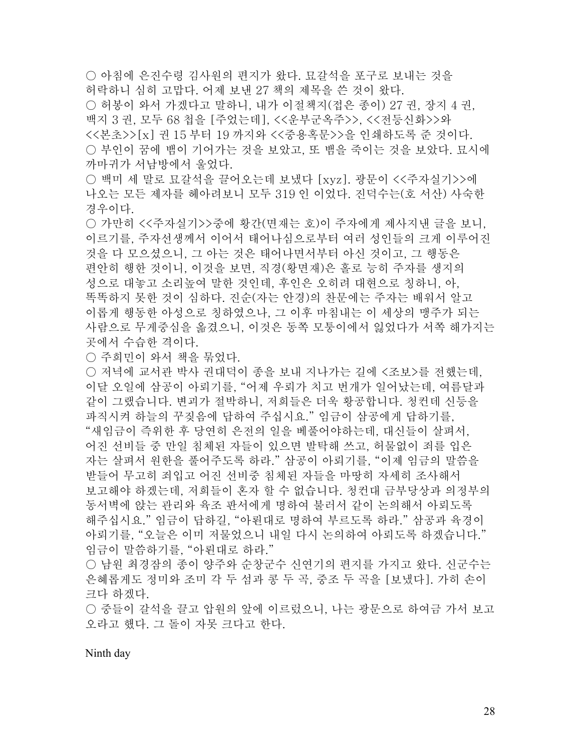○ 아침에 은진수령 김사원의 편지가 왔다. 묘갈석을 포구로 보내는 것을 허락하니 심히 고맙다. 어제 보낸 27 책의 제목을 쓴 것이 왔다.

○ 허봉이 와서 가겠다고 말하니, 내가 이절책지(접은 종이) 27 권, 장지 4 권, 백지 3 권, 모두 68 첩을 [주었는데], <<운부군옥주>>, <<전등신화>>와 <<본초>>[x] 권 15 부터 19 까지와 <<중용혹문>>을 인쇄하도록 준 것이다. ○ 부인이 꿈에 뱀이 기어가는 것을 보았고, 또 뱀을 죽이는 것을 보았다. 묘시에 까마귀가 서남방에서 울었다.

○ 백미 세 말로 묘갈석을 끌어오는데 보냈다 [xyz]. 광문이 <<주자실기>>에 나오는 모든 제자를 헤아려보니 모두 319 인 이었다. 진덕수는(호 서산) 사숙한 경우이다.

○ 가만히 <<주자실기>>중에 황간(면재는 호)이 주자에게 제사지낸 글을 보니, 이르기를, 주자선생께서 이어서 태어나심으로부터 여러 성인들의 크게 이루어진 것을 다 모으셨으니, 그 아는 것은 태어나면서부터 아신 것이고, 그 행동은 편안히 행한 것이니, 이것을 보면, 직경(황면재)은 홀로 능히 주자를 생지의 성으로 대놓고 소리높여 말한 것인데, 후인은 오히려 대현으로 칭하니, 아, 똑똑하지 못한 것이 심하다. 진순(자는 안경)의 찬문에는 주자는 배워서 알고 이롭게 행동한 아성으로 칭하였으나, 그 이후 마침내는 이 세상의 맹주가 되는 사람으로 무게중심을 옮겼으니, 이것은 동쪽 모퉁이에서 잃었다가 서쪽 해가지는 곳에서 수습한 격이다.

○ 주희민이 와서 책을 묶었다.

○ 저녁에 교서관 박사 권대덕이 종을 보내 지나가는 길에 <조보>를 전했는데, 이달 오일에 삼공이 아뢰기를, "어제 우뢰가 치고 번개가 일어났는데, 여름달과 같이 그랬습니다. 변괴가 절박하니, 저희들은 더욱 황공합니다. 청컨데 신등을 파직시켜 하늘의 꾸짖음에 답하여 주십시요." 임금이 삼공에게 답하기를, "새임금이 즉위한 후 당연히 은전의 일을 베풀어야하는데, 대신들이 살펴서, 어진 선비들 중 만일 침체된 자들이 있으면 발탁해 쓰고, 허물없이 죄를 입은 자는 살펴서 원한을 풀어주도록 하라." 삼공이 아뢰기를, "이제 임금의 말씀을 받들어 무고히 죄입고 어진 선비중 침체된 자들을 마땅히 자세히 조사해서 보고해야 하겠는데, 저희들이 혼자 할 수 없습니다. 청컨대 금부당상과 의정부의 동서벽에 앉는 관리와 육조 판서에게 명하여 불러서 같이 논의해서 아뢰도록 해주십시요." 임금이 답하길, "아뢴대로 명하여 부르도록 하라." 삼공과 육경이 아뢰기를, "오늘은 이미 저물었으니 내일 다시 논의하여 아뢰도록 하겠습니다." 임금이 말씀하기를, "아뢴대로 하라."

○ 남원 최경잠의 종이 양주와 순창군수 신연기의 편지를 가지고 왔다. 신군수는 은혜롭게도 정미와 조미 각 두 섬과 콩 두 곡, 중조 두 곡을 [보냈다]. 가히 손이 크다 하겠다.

○ 중들이 갈석을 끌고 압원의 앞에 이르렀으니, 나는 광문으로 하여금 가서 보고 오라고 했다. 그 돌이 자못 크다고 한다.

Ninth day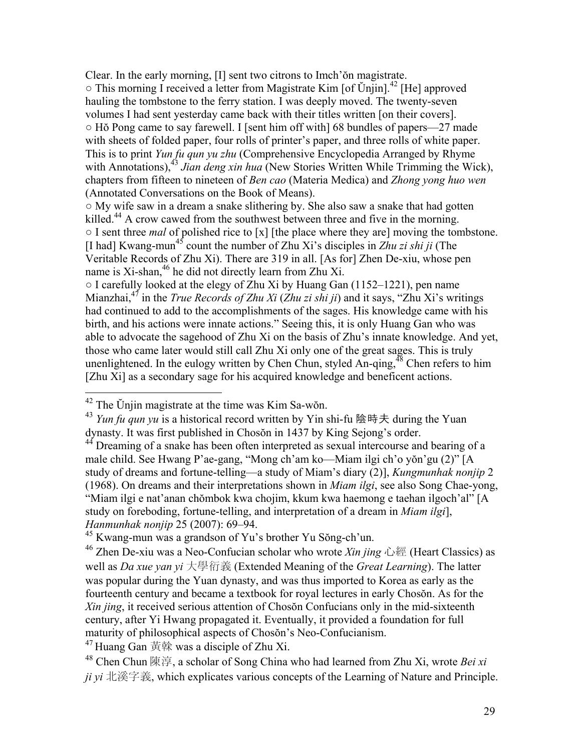Clear. In the early morning, [I] sent two citrons to Imch'ŏn magistrate.  $\circ$  This morning I received a letter from Magistrate Kim [of Ŭnjin].<sup>42</sup> [He] approved hauling the tombstone to the ferry station. I was deeply moved. The twenty-seven volumes I had sent yesterday came back with their titles written [on their covers].  $\circ$  H $\circ$  Pong came to say farewell. I [sent him off with] 68 bundles of papers—27 made with sheets of folded paper, four rolls of printer's paper, and three rolls of white paper. This is to print *Yun fu qun yu zhu* (Comprehensive Encyclopedia Arranged by Rhyme with Annotations),<sup>43</sup> Jian deng xin hua (New Stories Written While Trimming the Wick), chapters from fifteen to nineteen of *Ben cao* (Materia Medica) and *Zhong yong huo wen*  (Annotated Conversations on the Book of Means).

○ My wife saw in a dream a snake slithering by. She also saw a snake that had gotten killed.<sup>44</sup> A crow cawed from the southwest between three and five in the morning. ○ I sent three *mal* of polished rice to [x] [the place where they are] moving the tombstone. [I had] Kwang-mun45 count the number of Zhu Xi's disciples in *Zhu zi shi ji* (The Veritable Records of Zhu Xi). There are 319 in all. [As for] Zhen De-xiu, whose pen name is Xi-shan,<sup>46</sup> he did not directly learn from Zhu Xi.

 $\circ$  I carefully looked at the elegy of Zhu Xi by Huang Gan (1152–1221), pen name Mianzhai,47 in the *True Records of Zhu Xi* (*Zhu zi shi ji*) and it says, "Zhu Xi's writings had continued to add to the accomplishments of the sages. His knowledge came with his birth, and his actions were innate actions." Seeing this, it is only Huang Gan who was able to advocate the sagehood of Zhu Xi on the basis of Zhu's innate knowledge. And yet, those who came later would still call Zhu Xi only one of the great sages. This is truly unenlightened. In the eulogy written by Chen Chun, styled An-qing,  $^{48}$  Chen refers to him [Zhu Xi] as a secondary sage for his acquired knowledge and beneficent actions.

 $\overline{a}$ 

 $47$  Huang Gan 黃榦 was a disciple of Zhu Xi.

 $42$  The Unjin magistrate at the time was Kim Sa-wŏn.

<sup>43</sup> *Yun fu qun yu* is a historical record written by Yin shi-fu 陰時夫 during the Yuan dynasty. It was first published in Chosŏn in 1437 by King Sejong's order.

<sup>&</sup>lt;sup>44</sup> Dreaming of a snake has been often interpreted as sexual intercourse and bearing of a male child. See Hwang P'ae-gang, "Mong ch'am ko—Miam ilgi ch'o yŏn'gu (2)" [A study of dreams and fortune-telling—a study of Miam's diary (2)], *Kungmunhak nonjip* 2 (1968). On dreams and their interpretations shown in *Miam ilgi*, see also Song Chae-yong, "Miam ilgi e nat'anan chŏmbok kwa chojim, kkum kwa haemong e taehan ilgoch'al" [A study on foreboding, fortune-telling, and interpretation of a dream in *Miam ilgi*], *Hanmunhak nonjip* 25 (2007): 69–94.

<sup>45</sup> Kwang-mun was a grandson of Yu's brother Yu Sŏng-ch'un.

<sup>46</sup> Zhen De-xiu was a Neo-Confucian scholar who wrote *Xin jing* 心經 (Heart Classics) as well as *Da xue yan yi* 大學衍義 (Extended Meaning of the *Great Learning*). The latter was popular during the Yuan dynasty, and was thus imported to Korea as early as the fourteenth century and became a textbook for royal lectures in early Chosŏn. As for the *Xin jing*, it received serious attention of Chosŏn Confucians only in the mid-sixteenth century, after Yi Hwang propagated it. Eventually, it provided a foundation for full maturity of philosophical aspects of Chosŏn's Neo-Confucianism.

<sup>48</sup> Chen Chun 陳淳, a scholar of Song China who had learned from Zhu Xi, wrote *Bei xi ji yi* 北溪字義, which explicates various concepts of the Learning of Nature and Principle.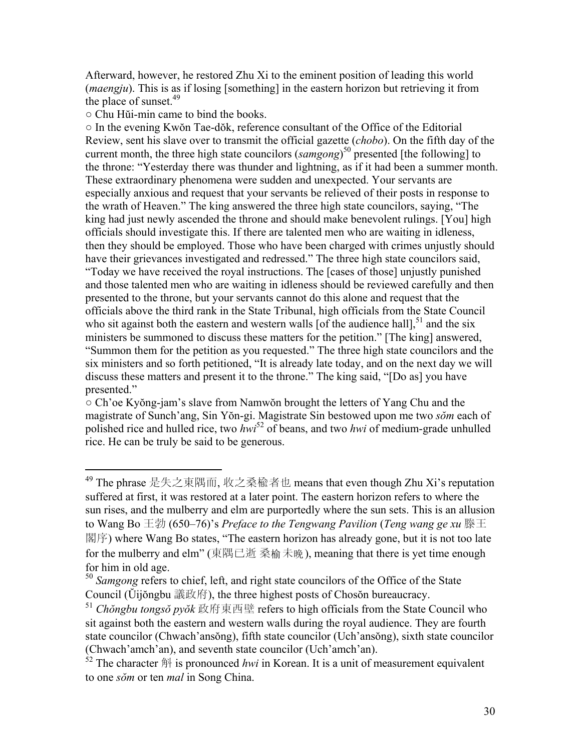Afterward, however, he restored Zhu Xi to the eminent position of leading this world (*maengju*). This is as if losing [something] in the eastern horizon but retrieving it from the place of sunset.<sup>49</sup>

○ Chu Hŭi-min came to bind the books.

 $\overline{a}$ 

○ In the evening Kwŏn Tae-dŏk, reference consultant of the Office of the Editorial Review, sent his slave over to transmit the official gazette (*chobo*). On the fifth day of the current month, the three high state councilors (*samgong*) 50 presented [the following] to the throne: "Yesterday there was thunder and lightning, as if it had been a summer month. These extraordinary phenomena were sudden and unexpected. Your servants are especially anxious and request that your servants be relieved of their posts in response to the wrath of Heaven." The king answered the three high state councilors, saying, "The king had just newly ascended the throne and should make benevolent rulings. [You] high officials should investigate this. If there are talented men who are waiting in idleness, then they should be employed. Those who have been charged with crimes unjustly should have their grievances investigated and redressed." The three high state councilors said, "Today we have received the royal instructions. The [cases of those] unjustly punished and those talented men who are waiting in idleness should be reviewed carefully and then presented to the throne, but your servants cannot do this alone and request that the officials above the third rank in the State Tribunal, high officials from the State Council who sit against both the eastern and western walls [of the audience hall],  $51$  and the six ministers be summoned to discuss these matters for the petition." [The king] answered, "Summon them for the petition as you requested." The three high state councilors and the six ministers and so forth petitioned, "It is already late today, and on the next day we will discuss these matters and present it to the throne." The king said, "[Do as] you have presented."

○ Ch'oe Kyŏng-jam's slave from Namwŏn brought the letters of Yang Chu and the magistrate of Sunch'ang, Sin Yŏn-gi. Magistrate Sin bestowed upon me two *sŏm* each of polished rice and hulled rice, two *hwi*<sup>52</sup> of beans, and two *hwi* of medium-grade unhulled rice. He can be truly be said to be generous.

<sup>49</sup> The phrase 是失之東隅而, 收之桑楡者也 means that even though Zhu Xi's reputation suffered at first, it was restored at a later point. The eastern horizon refers to where the sun rises, and the mulberry and elm are purportedly where the sun sets. This is an allusion to Wang Bo 王勃 (650–76)'s *Preface to the Tengwang Pavilion* (*Teng wang ge xu* 滕王 閣序) where Wang Bo states, "The eastern horizon has already gone, but it is not too late for the mulberry and elm" (東隅已逝 桑榆未晚), meaning that there is yet time enough for him in old age.

<sup>&</sup>lt;sup>50</sup> Samgong refers to chief, left, and right state councilors of the Office of the State Council (Ŭijŏngbu 議政府), the three highest posts of Chosŏn bureaucracy.

<sup>51</sup> *Chŏngbu tongsŏ pyŏk* 政府東西壁 refers to high officials from the State Council who sit against both the eastern and western walls during the royal audience. They are fourth state councilor (Chwach'ansŏng), fifth state councilor (Uch'ansŏng), sixth state councilor (Chwach'amch'an), and seventh state councilor (Uch'amch'an).

 $52$  The character  $\hat{\mathbb{H}}$  is pronounced *hwi* in Korean. It is a unit of measurement equivalent to one *sŏm* or ten *mal* in Song China.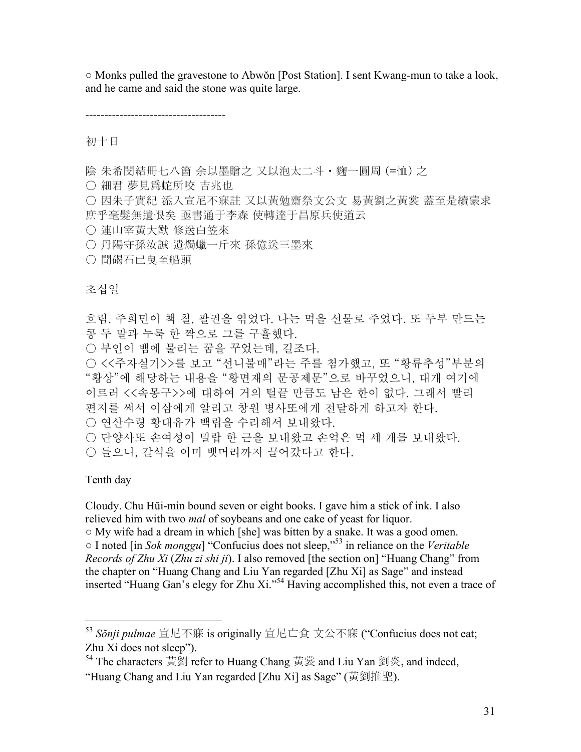○ Monks pulled the gravestone to Abwŏn [Post Station]. I sent Kwang-mun to take a look, and he came and said the stone was quite large.

-------------------------------------

初十日

陰 朱希閔結冊七八箇 余以墨贈之 又以泡太二斗・麴一圓周 (=恤) 之

○ 細君 夢見爲蛇所咬 吉兆也

○ 因朱子實紀 添入宣尼不寐註 又以黃勉齋祭文公文 易黃劉之黃裳 蓋至是續蒙求 庶乎毫髮無遺恨矣 亟書通于李森 使轉達于昌原兵使道云

- 連山宰黃大猷 修送白笠來
- 丹陽守孫汝誠 遺燭蠟一斤來 孫億送三墨來
- 聞碣石已曳至船頭

# 초십일

흐림. 주희민이 책 칠, 팔권을 엮었다. 나는 먹을 선물로 주었다. 또 두부 만드는 콩 두 말과 누룩 한 짝으로 그를 구휼했다. ○ 부인이 뱀에 물리는 꿈을 꾸었는데, 길조다. ○ <<주자실기>>를 보고 "선니불매"라는 주를 첨가했고, 또 "황류추성"부분의 "황상"에 해당하는 내용을 "황면재의 문공제문"으로 바꾸었으니, 대개 여기에 이르러 <<속몽구>>에 대하여 거의 털끝 만큼도 남은 한이 없다. 그래서 빨리 편지를 써서 이삼에게 알리고 창원 병사또에게 전달하게 하고자 한다. ○ 연산수령 황대유가 백립을 수리해서 보내왔다.

○ 단양사또 손여성이 밀랍 한 근을 보내왔고 손억은 먹 세 개를 보내왔다.

○ 들으니, 갈석을 이미 뱃머리까지 끌어갔다고 한다.

Tenth day

 $\overline{a}$ 

Cloudy. Chu Hŭi-min bound seven or eight books. I gave him a stick of ink. I also relieved him with two *mal* of soybeans and one cake of yeast for liquor.

○ My wife had a dream in which [she] was bitten by a snake. It was a good omen.

○ I noted [in *Sok monggu*] "Confucius does not sleep,"53 in reliance on the *Veritable Records of Zhu Xi* (*Zhu zi shi ji*). I also removed [the section on] "Huang Chang" from the chapter on "Huang Chang and Liu Yan regarded [Zhu Xi] as Sage" and instead inserted "Huang Gan's elegy for Zhu Xi."54 Having accomplished this, not even a trace of

54 The characters 黃劉 refer to Huang Chang 黃裳 and Liu Yan 劉炎, and indeed, "Huang Chang and Liu Yan regarded [Zhu Xi] as Sage" (黃劉推聖).

<sup>53</sup> *Sŏnji pulmae* 宣尼不寐 is originally 宣尼亡食 文公不寐 ("Confucius does not eat; Zhu Xi does not sleep").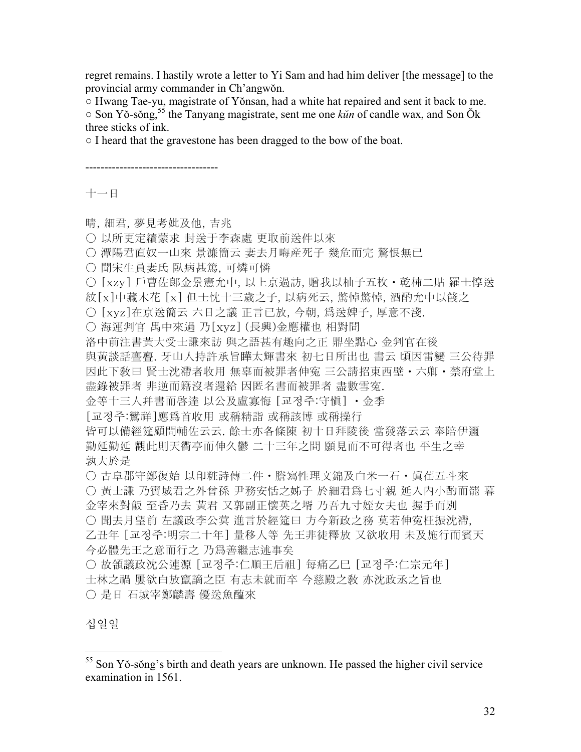regret remains. I hastily wrote a letter to Yi Sam and had him deliver [the message] to the provincial army commander in Ch'angwŏn.

○ Hwang Tae-yu, magistrate of Yŏnsan, had a white hat repaired and sent it back to me.

○ Son Yŏ-sŏng,55 the Tanyang magistrate, sent me one *kŭn* of candle wax, and Son Ŏk three sticks of ink.

○ I heard that the gravestone has been dragged to the bow of the boat.

-----------------------------------

十一日

晴, 細君, 夢見考妣及他, 吉兆

○ 以所更定續蒙求 封送于李森處 更取前送件以來

○ 潭陽君直奴一山來 景濂簡云 妻去月晦産死子 幾危而完 驚恨無已

○ 聞宋生員妻氏 臥病甚篤, 可燐可憐

○ [xzy] 戶曹佐郞金景憲允中, 以上京過訪, 贈我以柚子五枚 · 乾枾二貼 羅士惇送

紋[x]中藏木花 [x] 但士忱十三歲之子, 以病死云, 驚悼驚悼, 酒酌允中以餞之

○ [xyz]在京送簡云 六日之議 正言已放, 今朝, 爲送婢子, 厚意不淺.

○ 海運判官 禺中來過 乃[xyz] (長興)金應權也 相對間

洛中前注書黃大受士謙來訪 與之語甚有趣向之正 鼎坐點心 金判官在後

與黃談話亹亹. 牙山人持許承旨瞱太輝書來 初七日所出也 書云 頃因雷變 三公待罪 因此下敎曰 賢士沈滯者收用 無辜而被罪者伸寃 三公請招東西壁・六卿・禁府堂上 盡錄被罪者 非逆而籍沒者還給 因匿名書而被罪者 盡數雪寃.

金等十三人幷書而啓達 以公及盧寡悔 [교정주:守愼] ・金季

[교정주:鸞祥]應爲首收用 或稱精詣 或稱該博 或稱操行

皆可以備經筵顧問輔佐云云. 餘士亦各條陳 初十日拜陵後 當發落云云 奉陪伊邇 勤延勤延 觀此則天衢亭而伸久鬱 二十三年之間 願見而不可得者也 平生之幸 孰大於是

○ 古阜郡守鄭復始 以印粧詩傳二件 • 謄寫性理文錦及白米一石 • 眞荏五斗來

○ 黃士謙 乃寶城君之外曾孫 尹務安恬之姊子 於細君爲七寸親 延入內小酌而罷 暮 金宰來對飯 至昏乃去 黃君 又郭副正懷英之壻 乃吾九寸姪女夫也 握手而別

○ 聞去月望前 左議政李公蓂 進言於經筵曰 方今新政之務 莫若伸寃枉振沈滯,

乙丑年 [교정주:明宗二十年] 量移人等 先王非徒釋放 又欲收用 未及施行而賓天 今必體先王之意而行之 乃爲善繼志述事矣

○ 故領議政沈公連源 [교정주:仁順王后祖] 每痛乙巳 [교정주:仁宗元年] 士林之禍 屢欲白放竄謫之臣 有志未就而卒 今慈殿之敎 亦沈政丞之旨也 ○ 是日 石城宰鄭麟壽 優送魚醢來

십일일

 $\overline{a}$ 

 $55$  Son Yŏ-sŏng's birth and death years are unknown. He passed the higher civil service examination in 1561.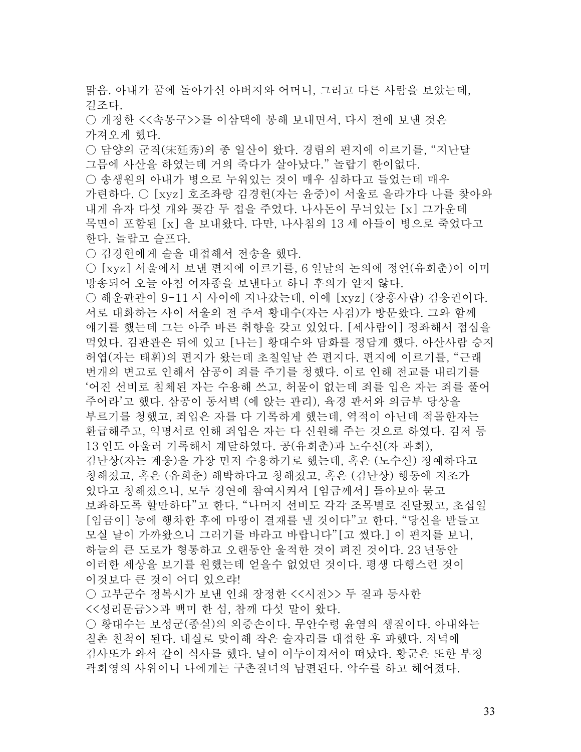맑음. 아내가 꿈에 돌아가신 아버지와 어머니, 그리고 다른 사람을 보았는데, 길조다.

○ 개정한 <<속몽구>>를 이삼댁에 봉해 보내면서, 다시 전에 보낸 것은 가져오게 했다.

○ 담양의 군직(宋廷秀)의 종 일산이 왔다. 경렴의 편지에 이르기를, "지난달 그믐에 사산을 하였는데 거의 죽다가 살아났다." 놀랍기 한이없다.

○ 송생워의 아내가 병으로 누워있는 것이 매우 심하다고 들었는데 매우 가련하다. ○ [xyz] 호조좌랑 김경헌(자는 윤중)이 서울로 올라가다 나를 찾아와 내게 유자 다섯 개와 꽂감 두 접을 주었다. 나사돈이 무늬있는 [x] 그가운데 목면이 포함된 [x] 을 보내왔다. 다만, 나사침의 13 세 아들이 병으로 죽었다고 한다. 놀랍고 슬프다.

○ 김경헌에게 술을 대접해서 전송을 했다.

○ [xyz] 서울에서 보낸 편지에 이르기를, 6 일날의 논의에 정언(유희춘)이 이미 방송되어 오늘 아침 여자종을 보낸다고 하니 후의가 얕지 않다.

○ 해운판관이 9-11 시 사이에 지나갔는데, 이에 [xyz] (장흥사람) 김응권이다. 서로 대화하는 사이 서울의 전 주서 황대수(자는 사겸)가 방문왔다. 그와 함께 얘기를 했는데 그는 아주 바른 취향을 갖고 있었다. [세사람이] 정좌해서 점심을 먹었다. 김판관은 뒤에 있고 [나는] 황대수와 담화를 정답게 했다. 아산사람 승지 허엽(자는 태휘)의 편지가 왔는데 초칠일날 쓴 편지다. 편지에 이르기를, "근래 번개의 변고로 인해서 삼공이 죄를 주기를 청했다. 이로 인해 전교를 내리기를 '어진 선비로 침체된 자는 수용해 쓰고, 허물이 없는데 죄를 입은 자는 죄를 풀어 주어라'고 했다. 삼공이 동서벽 (에 앉는 관리), 육경 판서와 의금부 당상을 부르기를 청했고, 죄입은 자를 다 기록하게 했는데, 역적이 아닌데 적몰한자는 환급해주고, 익명서로 인해 죄입은 자는 다 신원해 주는 것으로 하였다. 김저 등 13 인도 아울러 기록해서 계달하였다. 공(유희춘)과 노수신(자 과회), 김난상(자는 계응)을 가장 먼저 수용하기로 했는데, 혹은 (노수신) 정예하다고 칭해졌고, 혹은 (유희춘) 해박하다고 칭해졌고, 혹은 (김난상) 행동에 지조가 있다고 칭해졌으니, 모두 경연에 참여시켜서 [임금께서] 돌아보아 묻고 보좌하도록 할만하다"고 한다. "나머지 선비도 각각 조목별로 진달됬고, 초십일 [임금이] 능에 행차한 후에 마땅이 결재를 낼 것이다"고 한다. "당신을 받들고 모실 날이 가까왔으니 그러기를 바라고 바랍니다"[고 썼다.] 이 편지를 보니,

하늘의 큰 도로가 형통하고 오랜동안 울적한 것이 펴진 것이다. 23 년동안 이러한 세상을 보기를 원했는데 얻을수 없었던 것이다. 평생 다행스런 것이 이것보다 큰 것이 어디 있으랴!

○ 고부군수 정복시가 보낸 인쇄 장정한 <<시전>> 두 질과 등사한 <<성리문금>>과 백미 한 섬, 참깨 다섯 말이 왔다.

○ 황대수는 보성군(종실)의 외증손이다. 무안수령 윤염의 생질이다. 아내와는 칠촌 친척이 된다. 내실로 맞이해 작은 술자리를 대접한 후 파했다. 저녁에 김사또가 와서 같이 식사를 했다. 날이 어두어져서야 떠났다. 황군은 또한 부정 곽회영의 사위이니 나에게는 구촌질녀의 남편된다. 악수를 하고 헤어졌다.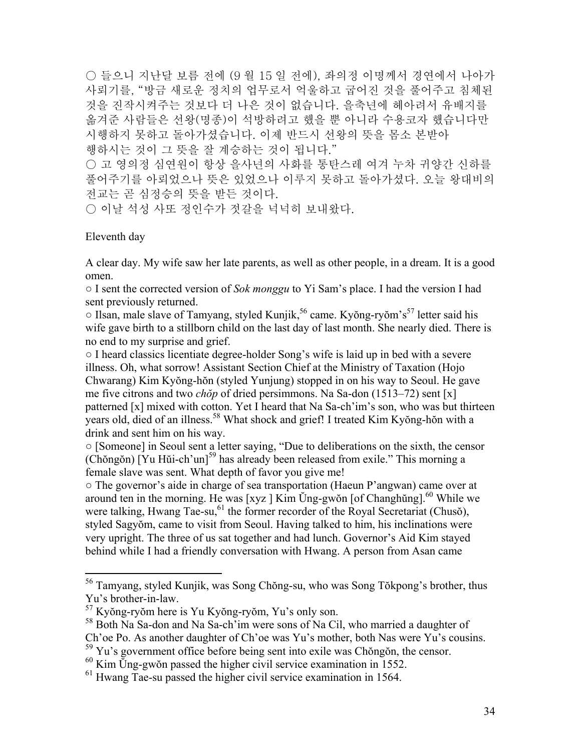○ 들으니 지난달 보름 전에 (9 월 15 일 전에), 좌의정 이명께서 경연에서 나아가 사뢰기를, "방금 새로운 정치의 업무로서 억울하고 굽어진 것을 풀어주고 침체된 것을 진작시켜주는 것보다 더 나은 것이 없습니다. 을축년에 헤아려서 유배지를 옮겨준 사람들은 선왕(명종)이 석방하려고 했을 뿐 아니라 수용코자 했습니다만 시행하지 못하고 돌아가셨습니다. 이제 반드시 선왕의 뜻을 몸소 본받아

행하시는 것이 그 뜻을 잘 계승하는 것이 됩니다." ○ 고 영의정 심연원이 항상 을사년의 사화를 통탄스레 여겨 누차 귀양간 신하를 풀어주기를 아뢰었으나 뜻은 있었으나 이루지 못하고 돌아가셨다. 오늘 왕대비의

전교는 곧 심정승의 뜻을 받든 것이다.

○ 이날 석성 사또 정인수가 젓갈을 넉넉히 보내왔다.

#### Eleventh day

 $\overline{a}$ 

A clear day. My wife saw her late parents, as well as other people, in a dream. It is a good omen.

○ I sent the corrected version of *Sok monggu* to Yi Sam's place. I had the version I had sent previously returned.

 $\circ$  Ilsan, male slave of Tamyang, styled Kunjik,<sup>56</sup> came. Kyŏng-ryŏm's<sup>57</sup> letter said his wife gave birth to a stillborn child on the last day of last month. She nearly died. There is no end to my surprise and grief.

○ I heard classics licentiate degree-holder Song's wife is laid up in bed with a severe illness. Oh, what sorrow! Assistant Section Chief at the Ministry of Taxation (Hojo Chwarang) Kim Kyŏng-hŏn (styled Yunjung) stopped in on his way to Seoul. He gave me five citrons and two *chŏp* of dried persimmons. Na Sa-don (1513–72) sent [x] patterned [x] mixed with cotton. Yet I heard that Na Sa-ch'im's son, who was but thirteen years old, died of an illness.58 What shock and grief! I treated Kim Kyŏng-hŏn with a drink and sent him on his way.

○ [Someone] in Seoul sent a letter saying, "Due to deliberations on the sixth, the censor (Chŏngŏn) [Yu Hŭi-ch'un]<sup>59</sup> has already been released from exile." This morning a female slave was sent. What depth of favor you give me!

○ The governor's aide in charge of sea transportation (Haeun P'angwan) came over at around ten in the morning. He was [xyz ] Kim Ŭng-gwŏn [of Changhŭng].<sup>60</sup> While we were talking, Hwang Tae-su,<sup>61</sup> the former recorder of the Royal Secretariat (Chusŏ), styled Sagyŏm, came to visit from Seoul. Having talked to him, his inclinations were very upright. The three of us sat together and had lunch. Governor's Aid Kim stayed behind while I had a friendly conversation with Hwang. A person from Asan came

<sup>&</sup>lt;sup>56</sup> Tamyang, styled Kunjik, was Song Chŏng-su, who was Song Tŏkpong's brother, thus Yu's brother-in-law.

<sup>57</sup> Kyŏng-ryŏm here is Yu Kyŏng-ryŏm, Yu's only son.

<sup>58</sup> Both Na Sa-don and Na Sa-ch'im were sons of Na Cil, who married a daughter of Ch'oe Po. As another daughter of Ch'oe was Yu's mother, both Nas were Yu's cousins.

<sup>&</sup>lt;sup>59</sup> Yu's government office before being sent into exile was Chŏngŏn, the censor.

 $^{60}$  Kim Ung-gwŏn passed the higher civil service examination in 1552.

 $<sup>61</sup>$  Hwang Tae-su passed the higher civil service examination in 1564.</sup>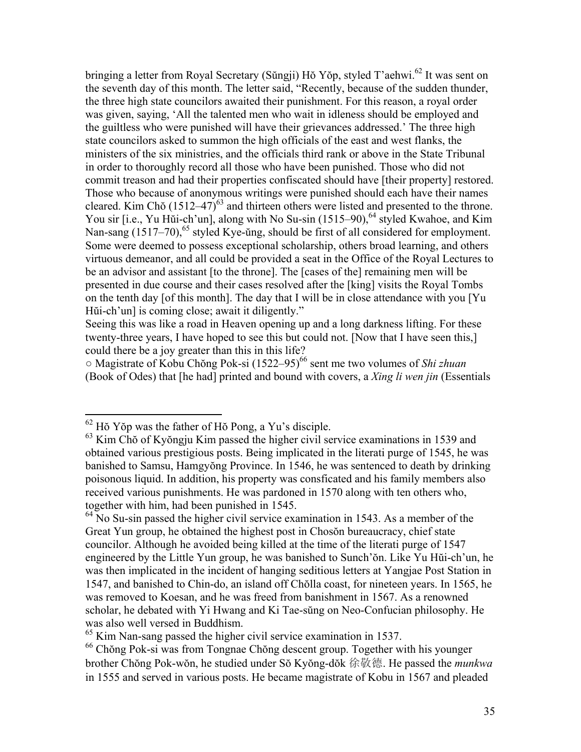bringing a letter from Royal Secretary (Sŭngji) Hŏ Yŏp, styled T'aehwi.<sup>62</sup> It was sent on the seventh day of this month. The letter said, "Recently, because of the sudden thunder, the three high state councilors awaited their punishment. For this reason, a royal order was given, saying, 'All the talented men who wait in idleness should be employed and the guiltless who were punished will have their grievances addressed.' The three high state councilors asked to summon the high officials of the east and west flanks, the ministers of the six ministries, and the officials third rank or above in the State Tribunal in order to thoroughly record all those who have been punished. Those who did not commit treason and had their properties confiscated should have [their property] restored. Those who because of anonymous writings were punished should each have their names cleared. Kim Chŏ  $(1512-47)^{63}$  and thirteen others were listed and presented to the throne. You sir [i.e., Yu Hŭi-ch'un], along with No Su-sin (1515–90),  $64$  styled Kwahoe, and Kim Nan-sang  $(1517-70)$ , <sup>65</sup> styled Kye- $\overline{u}$ ng, should be first of all considered for employment. Some were deemed to possess exceptional scholarship, others broad learning, and others virtuous demeanor, and all could be provided a seat in the Office of the Royal Lectures to be an advisor and assistant [to the throne]. The [cases of the] remaining men will be presented in due course and their cases resolved after the [king] visits the Royal Tombs on the tenth day [of this month]. The day that I will be in close attendance with you [Yu Hŭi-ch'un] is coming close; await it diligently."

Seeing this was like a road in Heaven opening up and a long darkness lifting. For these twenty-three years, I have hoped to see this but could not. [Now that I have seen this,] could there be a joy greater than this in this life?

○ Magistrate of Kobu Chŏng Pok-si (1522–95)66 sent me two volumes of *Shi zhuan* (Book of Odes) that [he had] printed and bound with covers, a *Xing li wen jin* (Essentials

<u>.</u>

 $62$  Hŏ Yŏp was the father of Hŏ Pong, a Yu's disciple.

<sup>63</sup> Kim Chŏ of Kyŏngju Kim passed the higher civil service examinations in 1539 and obtained various prestigious posts. Being implicated in the literati purge of 1545, he was banished to Samsu, Hamgyŏng Province. In 1546, he was sentenced to death by drinking poisonous liquid. In addition, his property was consficated and his family members also received various punishments. He was pardoned in 1570 along with ten others who, together with him, had been punished in 1545.

 $64$  No Su-sin passed the higher civil service examination in 1543. As a member of the Great Yun group, he obtained the highest post in Chosŏn bureaucracy, chief state councilor. Although he avoided being killed at the time of the literati purge of 1547 engineered by the Little Yun group, he was banished to Sunch'ŏn. Like Yu Hŭi-ch'un, he was then implicated in the incident of hanging seditious letters at Yangjae Post Station in 1547, and banished to Chin-do, an island off Chŏlla coast, for nineteen years. In 1565, he was removed to Koesan, and he was freed from banishment in 1567. As a renowned scholar, he debated with Yi Hwang and Ki Tae-sŭng on Neo-Confucian philosophy. He was also well versed in Buddhism.

<sup>&</sup>lt;sup>65</sup> Kim Nan-sang passed the higher civil service examination in 1537.

<sup>66</sup> Chŏng Pok-si was from Tongnae Chŏng descent group. Together with his younger brother Chŏng Pok-wŏn, he studied under Sŏ Kyŏng-dŏk 徐敬德. He passed the *munkwa* in 1555 and served in various posts. He became magistrate of Kobu in 1567 and pleaded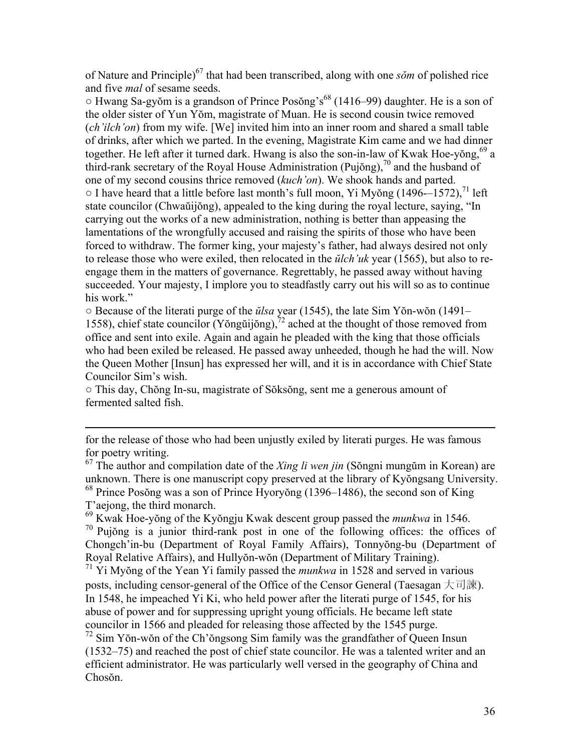of Nature and Principle)67 that had been transcribed, along with one *sŏm* of polished rice and five *mal* of sesame seeds.

 $\circ$  Hwang Sa-gyŏm is a grandson of Prince Posŏng's<sup>68</sup> (1416–99) daughter. He is a son of the older sister of Yun Yŏm, magistrate of Muan. He is second cousin twice removed (*ch'ilch'on*) from my wife. [We] invited him into an inner room and shared a small table of drinks, after which we parted. In the evening, Magistrate Kim came and we had dinner together. He left after it turned dark. Hwang is also the son-in-law of Kwak Hoe-yong,  $^{69}$  a third-rank secretary of the Royal House Administration (Pujŏng),<sup>70</sup> and the husband of one of my second cousins thrice removed (*kuch'on*). We shook hands and parted.  $\circ$  I have heard that a little before last month's full moon, Yi Myŏng (1496--1572),<sup>71</sup> left state councilor (Chwaŭijŏng), appealed to the king during the royal lecture, saying, "In carrying out the works of a new administration, nothing is better than appeasing the lamentations of the wrongfully accused and raising the spirits of those who have been forced to withdraw. The former king, your majesty's father, had always desired not only to release those who were exiled, then relocated in the *ŭlch'uk* year (1565), but also to reengage them in the matters of governance. Regrettably, he passed away without having succeeded. Your majesty, I implore you to steadfastly carry out his will so as to continue his work."

○ Because of the literati purge of the *ŭlsa* year (1545), the late Sim Yŏn-wŏn (1491– 1558), chief state councilor (Yŏngŭijŏng),  $\frac{7}{2}$  ached at the thought of those removed from office and sent into exile. Again and again he pleaded with the king that those officials who had been exiled be released. He passed away unheeded, though he had the will. Now the Queen Mother [Insun] has expressed her will, and it is in accordance with Chief State Councilor Sim's wish.

○ This day, Chŏng In-su, magistrate of Sŏksŏng, sent me a generous amount of fermented salted fish.

for the release of those who had been unjustly exiled by literati purges. He was famous for poetry writing.

67 The author and compilation date of the *Xing li wen jin* (Sŏngni mungŭm in Korean) are unknown. There is one manuscript copy preserved at the library of Kyŏngsang University. 68 Prince Posŏng was a son of Prince Hyoryŏng (1396–1486), the second son of King

T'aejong, the third monarch.

 $\overline{a}$ 

69 Kwak Hoe-yŏng of the Kyŏngju Kwak descent group passed the *munkwa* in 1546.

 $70$  Pujŏng is a junior third-rank post in one of the following offices: the offices of Chongch'in-bu (Department of Royal Family Affairs), Tonnyŏng-bu (Department of Royal Relative Affairs), and Hullyŏn-wŏn (Department of Military Training).

71 Yi Myŏng of the Yean Yi family passed the *munkwa* in 1528 and served in various posts, including censor-general of the Office of the Censor General (Taesagan 大司諫). In 1548, he impeached Yi Ki, who held power after the literati purge of 1545, for his abuse of power and for suppressing upright young officials. He became left state councilor in 1566 and pleaded for releasing those affected by the 1545 purge.

72 Sim Yŏn-wŏn of the Ch'ŏngsong Sim family was the grandfather of Queen Insun (1532–75) and reached the post of chief state councilor. He was a talented writer and an efficient administrator. He was particularly well versed in the geography of China and Chosŏn.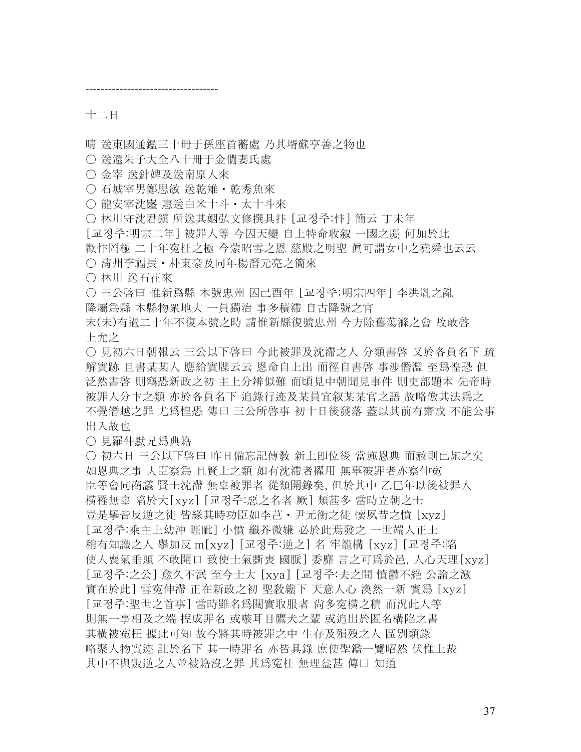十二日

晴 送東國通鑑三十冊于孫座首蘅處 乃其壻蘇亨善之物也

○ 送還朱子大全八十冊于金僩妻氏處

○ 金宰 送針婢及送南原人來

-----------------------------------

○ 石城宰男鄭思敏 送乾雉・乾秀魚來

○ 龍安宰沈嶐 惠送白米十斗 • 太十斗來

○ 林川守沈君鎭 所送其姻弘文修撰具抃 [교정주:忭] 簡云 丁未年

[교정주:明宗二年] 被罪人等 今因天變 自上特命收叙 一國之慶 何加於此

歡忭罔極 二十年寃枉之極 今蒙昭雪之恩 慈殿之明聖 眞可謂女中之堯舜也云云

○ 清州李福長 • 朴東豪及同年楊潛元亮之簡來

○ 林川 送石花來

○ 三公啓曰 惟新爲縣 本號忠州 因己酉年 [교정주:明宗四年] 李洪胤之亂

降屬爲縣 本縣物衆地大 一員獨治 事多積滯 自古降號之官

末(未)有過二十年不復本號之時 請惟新縣復號忠州 今方除舊蕩滌之會 故敢啓 上允之

○ 見初六日朝報云 三公以下啓曰 今此被罪及沈滯之人 分類書啓 又於各員名下 疏 解實跡 且書某某人 應給實牒云云 恩命自上出 而徑自書啓 事涉僭濫 至爲惶恐 但 泛然書啓 則竊恐新政之初 主上分辨似難 而頃見中朝聞見事件 則吏部題本 先帝時 被罪人分卞之類 亦於各員名下 追錄行迹及某員宜叙某某官之語 故略倣其法爲之 不覺僭越之罪 尤爲惶恐 傳曰 三公所啓事 初十日後發落 蓋以其前有齋戒 不能公事 出入故也

○ 見羅仲默兄爲典籍

○ 初六日 三公以下啓曰 昨日備忘記傳敎 新上卽位後 當施恩典 而赦則已施之矣 如恩典之事 大臣察爲 且賢士之類 如有沈滯者擢用 無辜被罪者亦察伸寃 臣等會同商議 賢士沈滯 無辜被罪者 從類開錄矣, 但於其中 乙巳年以後被罪人 橫罹無辜 陷於大[xyz] [교정주:惡之名者 厥] 類甚多 當時立朝之士 豈是擧皆反逆之徒 皆緣其時功臣如李芑・尹元衡之徒 懷夙昔之憤 [xyz] [교정주:乘主上幼冲 睚眦] 小憤 纖芥微嫌 必於此焉發之 一世端人正士 稍有知識之人 擧加反 m[xyz] [교정주:逆之] 名 牢籠構 [xyz] [교정주:陷 使人喪氣垂頭 不敢開口 致使士氣斲喪 國脈] 委靡 言之可爲於邑, 人心天理[xyz] [교정주:之公] 愈久不泯 至今士大 [xya] [교정주:夫之間 憤鬱不絶 公論之激 實在於此] 雪寃伸滯 正在新政之初 聖敎纔下 天意人心 渙然一新 實爲 [xyz] [교정주:聖世之首事] 當時雖名爲閱實取服者 尙多寃橫之積 而況此人等 則無一事相及之端 揑成罪名 或嗾耳目鷹犬之輩 或追出於匿名構陷之書 其橫被寃枉 據此可知 故今將其時被罪之中 生存及殞歿之人 區別類錄 略聚人物實迹 註於名下 其一時罪名 亦皆具錄 庶使聖鑑一覽昭然 伏惟上裁 其中不與叛逆之人並被籍沒之罪 其爲寃枉 無理益甚 傳曰 知道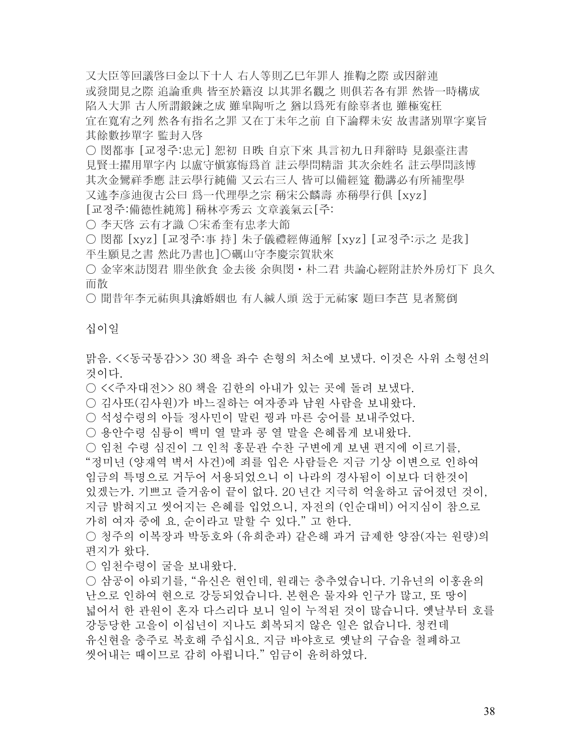又大臣等回議啓曰金以下十人 右人等則乙巳年罪人 推鞫之際 或因辭連 或發聞見之際 追論重典 皆至於籍沒 以其罪名觀之 則俱若各有罪 然皆一時構成 陷入大罪 古人所謂鍛鍊之成 雖皐陶听之 猶以爲死有餘辜者也 雖極寃枉 宜在寬宥之列 然各有指名之罪 又在丁未年之前 自下論釋未安 故書諸別單字稟旨 其餘數抄單字 監封入啓

○ 閔都事 [교정주:忠元] 恕初 日昳 自京下來 具言初九日拜辭時 見銀臺注書 見賢士擢用單字內 以盧守愼寡悔爲首 註云學問精詣 其次余姓名 註云學問該博 其次金鸞祥季應 註云學行純備 又云右三人 皆可以備經筵 勸講必有所補聖學 又述李彦迪復古公曰 爲一代理學之宗 稱宋公麟壽 亦稱學行俱 [xyz] [교정주:備德性純篤] 稱林亭秀云 文章義氣云[주:

○ 李天啓 云有才識 ○宋希奎有忠孝大節

○ 閔都 [xyz] [교정주:事 持] 朱子儀禮經傳通解 [xyz] [교정주:示之 是我] 平生願見之書 然此乃書也]○礪山守李慶宗賀狀來

○ 金宰來訪閔君 鼎坐飮食 金去後 余與閔・朴二君 共論心經附註於外房灯下 良久 而散

○ 聞昔年李元祐與具渰婚姻也 有人緘人頭 送于元祐家 題曰李芑 見者驚倒

### 십이일

맑음. <<동국통감>> 30 책을 좌수 손형의 처소에 보냈다. 이것은 사위 소형선의 것이다.

○ <<주자대전>> 80 책을 김한의 아내가 있는 곳에 돌려 보냈다.

○ 김사또(김사원)가 바느질하는 여자종과 남원 사람을 보내왔다.

○ 석성수령의 아들 정사민이 말린 꿩과 마른 숭어를 보내주었다.

○ 용안수령 심륭이 백미 열 말과 콩 열 말을 은혜롭게 보내왔다.

○ 임천 수령 심진이 그 인척 홍문관 수찬 구변에게 보낸 편지에 이르기를, "정미년 (양재역 벽서 사건)에 죄를 입은 사람들은 지금 기상 이변으로 인하여 임금의 특명으로 거두어 서용되었으니 이 나라의 경사됨이 이보다 더한것이 있겠는가. 기쁘고 즐거움이 끝이 없다. 20 년간 지극히 억울하고 굽어졌던 것이,

지금 밝혀지고 씻어지는 은혜를 입었으니, 자전의 (인순대비) 어지심이 참으로 가히 여자 중에 요, 순이라고 말할 수 있다." 고 한다.

○ 청주의 이복장과 박동호와 (유희춘과) 같은해 과거 급제한 양잠(자는 원량)의 편지가 왔다.

○ 임천수령이 굴을 보내왔다.

○ 삼공이 아뢰기를, "유신은 현인데, 원래는 충추였습니다. 기유년의 이홍윤의 난으로 인하여 현으로 강등되었습니다. 본현은 물자와 인구가 많고, 또 땅이 넓어서 한 관원이 혼자 다스리다 보니 일이 누적된 것이 많습니다. 옛날부터 호를 강등당한 고을이 이십년이 지나도 회복되지 않은 일은 없습니다. 청컨데 유신현을 충주로 복호해 주십시요. 지금 바야흐로 옛날의 구습을 철폐하고 씻어내는 때이므로 감히 아룁니다." 임금이 윤허하였다.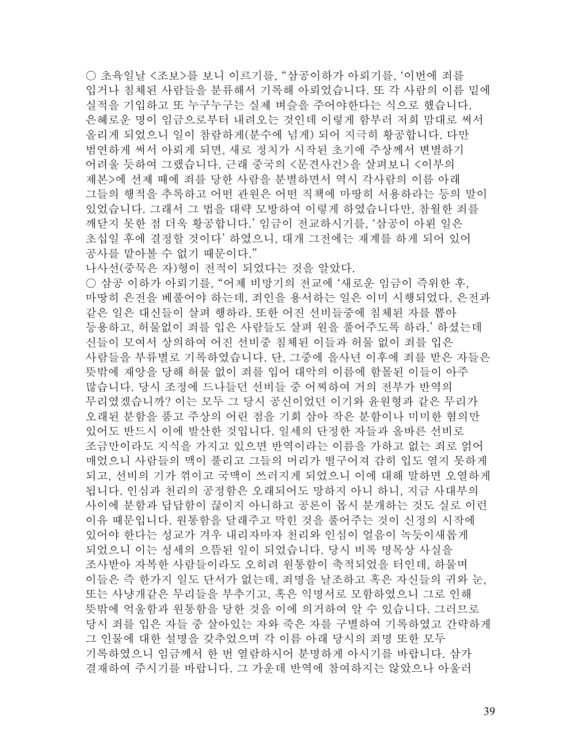○ 초육일날 <조보>를 보니 이르기를, "삼공이하가 아뢰기를, '이번에 죄를 입거나 침체된 사람들을 분류해서 기록해 아뢰었습니다. 또 각 사람의 이름 밑에 실적을 기입하고 또 누구누구는 실제 벼슬을 주어야한다는 식으로 했습니다. 은혜로운 명이 임금으로부터 내려오는 것인데 이렇게 함부러 저희 맘대로 써서 올리게 되었으니 일이 참람하게(분수에 넘게) 되어 지극히 황공합니다. 다만 범연하게 써서 아뢰게 되면, 새로 정치가 시작된 초기에 주상께서 변별하기 어려울 듯하여 그랬습니다. 근래 중국의 <문견사건>을 살펴보니 <이부의 제본>에 선제 때에 죄를 당한 사람을 분별하면서 역시 각사람의 이름 아래 그들의 행적을 추록하고 어떤 관원은 어떤 직책에 마땅히 서용하라는 등의 말이 있었습니다. 그래서 그 법을 대략 모방하여 이렇게 하였습니다만, 참월한 죄를 깨닫지 못한 점 더욱 황공합니다.' 임금이 전교하시기를, '삼공이 아뢴 일은 초십일 후에 결정할 것이다' 하였으니, 대개 그전에는 재계를 하게 되어 있어 공사를 맡아볼 수 없기 때문이다."

나사선(중묵은 자)형이 전적이 되었다는 것을 알았다. ○ 삼공 이하가 아뢰기를, "어제 비망기의 전교에 '새로운 임금이 즉위한 후, 마땅히 은전을 베풀어야 하는데, 죄인을 용서하는 일은 이미 시행되었다. 은전과 같은 일은 대신들이 살펴 행하라. 또한 어진 선비들중에 침체된 자를 뽑아 등용하고, 허물없이 죄를 입은 사람들도 살펴 원을 풀어주도록 하라.' 하셨는데 신들이 모여서 상의하여 어진 선비중 침체된 이들과 허물 없이 죄를 입은 사람들을 부류별로 기록하였습니다. 단, 그중에 을사년 이후에 죄를 받은 자들은 뜻밖에 재앙을 당해 허물 없이 죄를 입어 대악의 이름에 함몰된 이들이 아주

많습니다. 당시 조정에 드나들던 선비들 중 어찌하여 거의 전부가 반역의 무리였겠습니까? 이는 모두 그 당시 공신이었던 이기와 윤원형과 같은 무리가 오래된 분함을 품고 주상의 어린 점을 기회 삼아 작은 분함이나 미미한 혐의만 있어도 반드시 이에 발산한 것입니다. 일세의 단정한 자들과 올바른 선비로 조금만이라도 지식을 가지고 있으면 반역이라는 이름을 가하고 없는 죄로 얽어 매었으니 사람들의 맥이 풀리고 그들의 머리가 떨구어져 감히 입도 열지 못하게 되고, 선비의 기가 꺾이고 국맥이 쓰러지게 되었으니 이에 대해 말하면 오열하게 됩니다. 인심과 천리의 공정함은 오래되어도 망하지 아니 하니, 지금 사대부의 사이에 분함과 답답함이 끊이지 아니하고 공론이 몹시 분개하는 것도 실로 이런 이유 때문입니다. 원통함을 달래주고 막힌 것을 풀어주는 것이 신정의 시작에 있어야 한다는 성교가 겨우 내리자마자 천리와 인심이 얼음이 녹듯이새롭게 되었으니 이는 성세의 으뜸된 일이 되었습니다. 당시 비록 명목상 사실을 조사받아 자복한 사람들이라도 오히려 원통함이 축적되었을 터인데, 하물며 이들은 즉 한가지 일도 단서가 없는데, 죄명을 날조하고 혹은 자신들의 귀와 눈, 또는 사냥개같은 무리들을 부추기고, 혹은 익명서로 모함하였으니 그로 인해 뜻밖에 억울함과 원통함을 당한 것을 이에 의거하여 알 수 있습니다. 그러므로 당시 죄를 입은 자들 중 살아있는 자와 죽은 자를 구별하여 기록하였고 간략하게 그 인물에 대한 설명을 갖추었으며 각 이름 아래 당시의 죄명 또한 모두 기록하였으니 임금께서 한 번 열람하시어 분명하게 아시기를 바랍니다. 삼가 결재하여 주시기를 바랍니다. 그 가운데 반역에 참여하지는 않았으나 아울러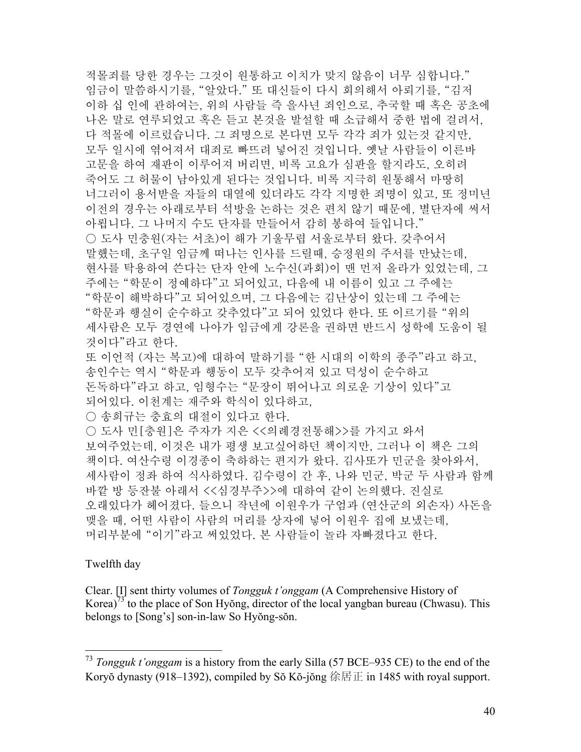적몰죄를 당한 경우는 그것이 원통하고 이치가 맞지 않음이 너무 심합니다." 임금이 말씀하시기를, "알았다." 또 대신들이 다시 회의해서 아뢰기를, "김저 이하 십 인에 관하여는, 위의 사람들 즉 을사년 죄인으로, 추국할 때 혹은 공초에 나온 말로 연루되었고 혹은 듣고 본것을 발설할 때 소급해서 중한 법에 걸려서, 다 적몰에 이르렀습니다. 그 죄명으로 본다면 모두 각각 죄가 있는것 같지만, 모두 일시에 엮어져서 대죄로 빠뜨려 넣어진 것입니다. 옛날 사람들이 이른바 고문을 하여 재판이 이루어져 버리면, 비록 고요가 심판을 할지라도, 오히려 죽어도 그 허물이 남아있게 된다는 것입니다. 비록 지극히 원통해서 마땅히 너그러이 용서받을 자들의 대열에 있더라도 각각 지명한 죄명이 있고, 또 정미년 이전의 경우는 아래로부터 석방을 논하는 것은 편치 않기 때문에, 별단자에 써서 아룁니다. 그 나머지 수도 단자를 만들어서 감히 봉하여 들입니다." ○ 도사 민충원(자는 서초)이 해가 기울무렵 서울로부터 왔다. 갖추어서 말했는데, 초구일 임금께 떠나는 인사를 드릴때, 승정원의 주서를 만났는데, 현사를 탁용하여 쓴다는 단자 안에 노수신(과회)이 맨 먼저 올라가 있었는데, 그 주에는 "학문이 정예하다"고 되어있고, 다음에 내 이름이 있고 그 주에는 "학문이 해박하다"고 되어있으며, 그 다음에는 김난상이 있는데 그 주에는 "학문과 행실이 순수하고 갖추었다"고 되어 있었다 한다. 또 이르기를 "위의 세사람은 모두 경연에 나아가 임금에게 강론을 권하면 반드시 성학에 도움이 될 것이다"라고 한다. 또 이언적 (자는 복고)에 대하여 말하기를 "한 시대의 이학의 종주"라고 하고, 송인수는 역시 "학문과 행동이 모두 갖추어져 있고 덕성이 순수하고 돈독하다"라고 하고, 임형수는 "문장이 뛰어나고 의로운 기상이 있다"고

되어있다. 이천계는 재주와 학식이 있다하고,

○ 송희규는 충효의 대절이 있다고 한다.

○ 도사 민[충원]은 주자가 지은 <<의례경전통해>>를 가지고 와서 보여주었는데, 이것은 내가 평생 보고싶어하던 책이지만, 그러나 이 책은 그의 책이다. 여산수령 이경종이 축하하는 편지가 왔다. 김사또가 민군을 찾아와서, 세사람이 정좌 하여 식사하였다. 김수령이 간 후, 나와 민군, 박군 두 사람과 함께 바깥 방 등잔불 아래서 <<심경부주>>에 대하여 같이 논의했다. 진실로 오래있다가 헤어졌다. 들으니 작년에 이원우가 구엄과 (연산군의 외손자) 사돈을 맺을 때, 어떤 사람이 사람의 머리를 상자에 넣어 이원우 집에 보냈는데, 머리부분에 "이기"라고 써있었다. 본 사람들이 놀라 자빠졌다고 한다.

# Twelfth day

 $\overline{a}$ 

Clear. [I] sent thirty volumes of *Tongguk t'onggam* (A Comprehensive History of Korea)<sup>73</sup> to the place of Son Hyŏng, director of the local yangban bureau (Chwasu). This belongs to [Song's] son-in-law So Hyŏng-sŏn.

<sup>73</sup> *Tongguk t'onggam* is a history from the early Silla (57 BCE–935 CE) to the end of the Koryŏ dynasty (918–1392), compiled by Sŏ Kŏ-jŏng 徐居正 in 1485 with royal support.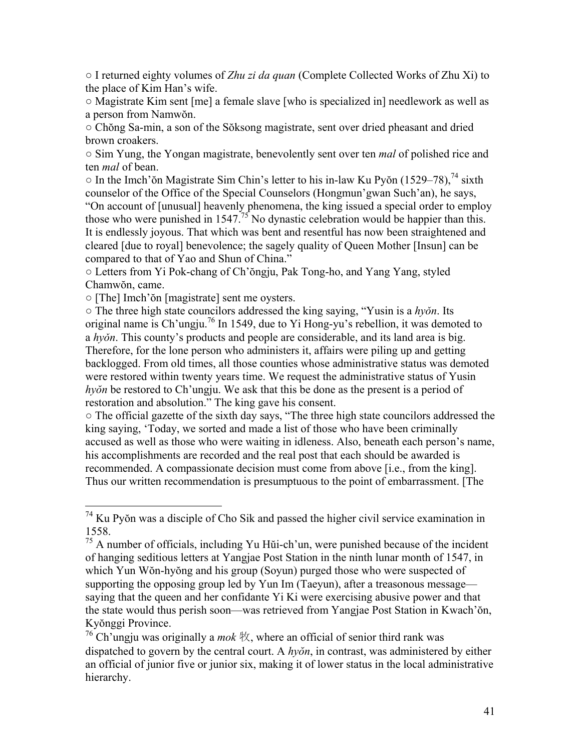○ I returned eighty volumes of *Zhu zi da quan* (Complete Collected Works of Zhu Xi) to the place of Kim Han's wife.

○ Magistrate Kim sent [me] a female slave [who is specialized in] needlework as well as a person from Namwŏn.

○ Chŏng Sa-min, a son of the Sŏksong magistrate, sent over dried pheasant and dried brown croakers.

○ Sim Yung, the Yongan magistrate, benevolently sent over ten *mal* of polished rice and ten *mal* of bean.

 $\circ$  In the Imch'ŏn Magistrate Sim Chin's letter to his in-law Ku Pvŏn (1529–78), <sup>74</sup> sixth counselor of the Office of the Special Counselors (Hongmun'gwan Such'an), he says, "On account of [unusual] heavenly phenomena, the king issued a special order to employ those who were punished in  $1547<sup>75</sup>$  No dynastic celebration would be happier than this. It is endlessly joyous. That which was bent and resentful has now been straightened and cleared [due to royal] benevolence; the sagely quality of Queen Mother [Insun] can be compared to that of Yao and Shun of China."

○ Letters from Yi Pok-chang of Ch'ŏngju, Pak Tong-ho, and Yang Yang, styled Chamwŏn, came.

○ [The] Imch'ŏn [magistrate] sent me oysters.

 $\overline{a}$ 

○ The three high state councilors addressed the king saying, "Yusin is a *hyǒn*. Its original name is Ch'ungju.<sup>76</sup> In 1549, due to Yi Hong-yu's rebellion, it was demoted to a *hyǒn*. This county's products and people are considerable, and its land area is big. Therefore, for the lone person who administers it, affairs were piling up and getting backlogged. From old times, all those counties whose administrative status was demoted were restored within twenty years time. We request the administrative status of Yusin *hyŏn* be restored to Ch'ungju. We ask that this be done as the present is a period of restoration and absolution." The king gave his consent.

○ The official gazette of the sixth day says, "The three high state councilors addressed the king saying, 'Today, we sorted and made a list of those who have been criminally accused as well as those who were waiting in idleness. Also, beneath each person's name, his accomplishments are recorded and the real post that each should be awarded is recommended. A compassionate decision must come from above [i.e., from the king]. Thus our written recommendation is presumptuous to the point of embarrassment. [The

 $74$  Ku Pyŏn was a disciple of Cho Sik and passed the higher civil service examination in 1558.

 $75$  A number of officials, including Yu Hŭi-ch'un, were punished because of the incident of hanging seditious letters at Yangjae Post Station in the ninth lunar month of 1547, in which Yun Wŏn-hyŏng and his group (Soyun) purged those who were suspected of supporting the opposing group led by Yun Im (Taeyun), after a treasonous message saying that the queen and her confidante Yi Ki were exercising abusive power and that the state would thus perish soon—was retrieved from Yangjae Post Station in Kwach'ŏn, Kyŏnggi Province.

<sup>76</sup> Ch'ungju was originally a *mok* 牧, where an official of senior third rank was dispatched to govern by the central court. A *hyŏn*, in contrast, was administered by either an official of junior five or junior six, making it of lower status in the local administrative hierarchy.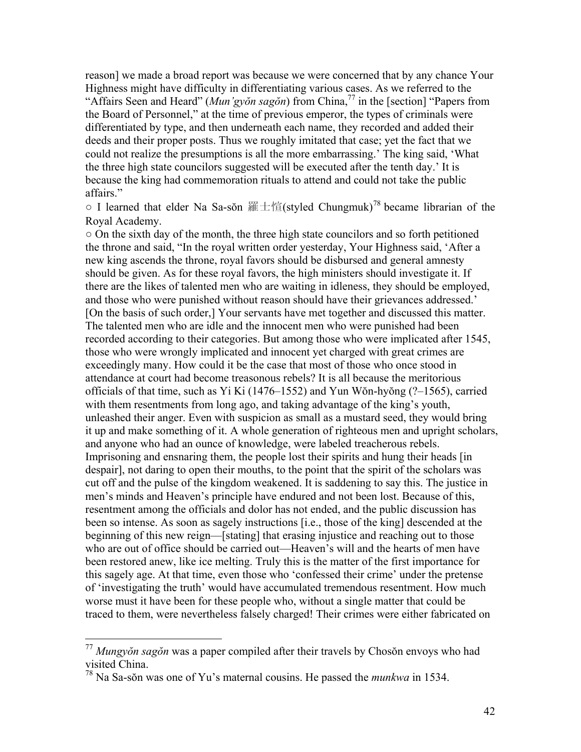reason] we made a broad report was because we were concerned that by any chance Your Highness might have difficulty in differentiating various cases. As we referred to the "Affairs Seen and Heard" (*Mun'gyŏn sagŏn*) from China,77 in the [section] "Papers from the Board of Personnel," at the time of previous emperor, the types of criminals were differentiated by type, and then underneath each name, they recorded and added their deeds and their proper posts. Thus we roughly imitated that case; yet the fact that we could not realize the presumptions is all the more embarrassing.' The king said, 'What the three high state councilors suggested will be executed after the tenth day.' It is because the king had commemoration rituals to attend and could not take the public affairs."

 $\circ$  I learned that elder Na Sa-sŏn 羅士愃(styled Chungmuk)<sup>78</sup> became librarian of the Royal Academy.

 $\circ$  On the sixth day of the month, the three high state councilors and so forth petitioned the throne and said, "In the royal written order yesterday, Your Highness said, 'After a new king ascends the throne, royal favors should be disbursed and general amnesty should be given. As for these royal favors, the high ministers should investigate it. If there are the likes of talented men who are waiting in idleness, they should be employed, and those who were punished without reason should have their grievances addressed.' [On the basis of such order,] Your servants have met together and discussed this matter. The talented men who are idle and the innocent men who were punished had been recorded according to their categories. But among those who were implicated after 1545, those who were wrongly implicated and innocent yet charged with great crimes are exceedingly many. How could it be the case that most of those who once stood in attendance at court had become treasonous rebels? It is all because the meritorious officials of that time, such as Yi Ki (1476–1552) and Yun Wŏn-hyŏng (?–1565), carried with them resentments from long ago, and taking advantage of the king's youth, unleashed their anger. Even with suspicion as small as a mustard seed, they would bring it up and make something of it. A whole generation of righteous men and upright scholars, and anyone who had an ounce of knowledge, were labeled treacherous rebels. Imprisoning and ensnaring them, the people lost their spirits and hung their heads [in despair], not daring to open their mouths, to the point that the spirit of the scholars was cut off and the pulse of the kingdom weakened. It is saddening to say this. The justice in men's minds and Heaven's principle have endured and not been lost. Because of this, resentment among the officials and dolor has not ended, and the public discussion has been so intense. As soon as sagely instructions [i.e., those of the king] descended at the beginning of this new reign—[stating] that erasing injustice and reaching out to those who are out of office should be carried out—Heaven's will and the hearts of men have been restored anew, like ice melting. Truly this is the matter of the first importance for this sagely age. At that time, even those who 'confessed their crime' under the pretense of 'investigating the truth' would have accumulated tremendous resentment. How much worse must it have been for these people who, without a single matter that could be traced to them, were nevertheless falsely charged! Their crimes were either fabricated on

1

<sup>77</sup> *Mungyŏn sagŏn* was a paper compiled after their travels by Chosŏn envoys who had visited China.

<sup>78</sup> Na Sa-sŏn was one of Yu's maternal cousins. He passed the *munkwa* in 1534.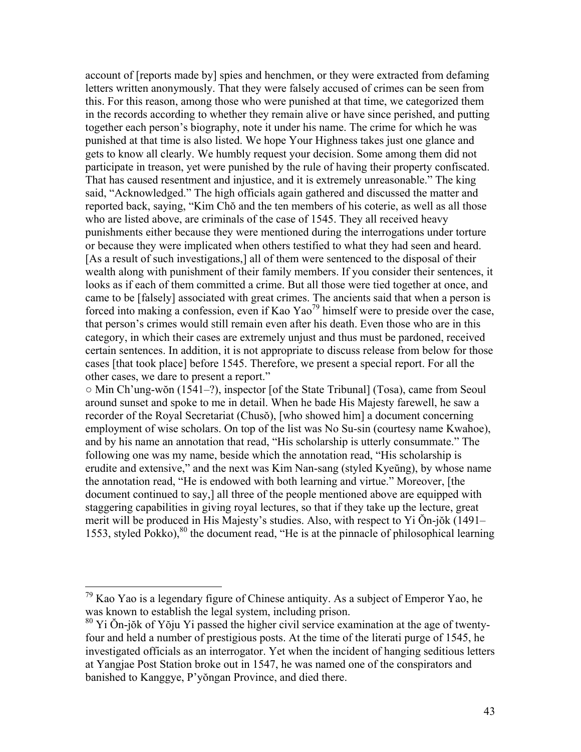account of [reports made by] spies and henchmen, or they were extracted from defaming letters written anonymously. That they were falsely accused of crimes can be seen from this. For this reason, among those who were punished at that time, we categorized them in the records according to whether they remain alive or have since perished, and putting together each person's biography, note it under his name. The crime for which he was punished at that time is also listed. We hope Your Highness takes just one glance and gets to know all clearly. We humbly request your decision. Some among them did not participate in treason, yet were punished by the rule of having their property confiscated. That has caused resentment and injustice, and it is extremely unreasonable." The king said, "Acknowledged." The high officials again gathered and discussed the matter and reported back, saying, "Kim Chŏ and the ten members of his coterie, as well as all those who are listed above, are criminals of the case of 1545. They all received heavy punishments either because they were mentioned during the interrogations under torture or because they were implicated when others testified to what they had seen and heard. [As a result of such investigations,] all of them were sentenced to the disposal of their wealth along with punishment of their family members. If you consider their sentences, it looks as if each of them committed a crime. But all those were tied together at once, and came to be [falsely] associated with great crimes. The ancients said that when a person is forced into making a confession, even if Kao Yao<sup>79</sup> himself were to preside over the case, that person's crimes would still remain even after his death. Even those who are in this category, in which their cases are extremely unjust and thus must be pardoned, received certain sentences. In addition, it is not appropriate to discuss release from below for those cases [that took place] before 1545. Therefore, we present a special report. For all the other cases, we dare to present a report."

○ Min Ch'ung-wŏn (1541–?), inspector [of the State Tribunal] (Tosa), came from Seoul around sunset and spoke to me in detail. When he bade His Majesty farewell, he saw a recorder of the Royal Secretariat (Chusŏ), [who showed him] a document concerning employment of wise scholars. On top of the list was No Su-sin (courtesy name Kwahoe), and by his name an annotation that read, "His scholarship is utterly consummate." The following one was my name, beside which the annotation read, "His scholarship is erudite and extensive," and the next was Kim Nan-sang (styled Kyeŭng), by whose name the annotation read, "He is endowed with both learning and virtue." Moreover, [the document continued to say,] all three of the people mentioned above are equipped with staggering capabilities in giving royal lectures, so that if they take up the lecture, great merit will be produced in His Majesty's studies. Also, with respect to Yi Ŏn-jŏk (1491– 1553, styled Pokko),<sup>80</sup> the document read, "He is at the pinnacle of philosophical learning

 $\overline{a}$ 

 $79$  Kao Yao is a legendary figure of Chinese antiquity. As a subject of Emperor Yao, he was known to establish the legal system, including prison.

<sup>80</sup> Yi Ŏn-jŏk of Yŏju Yi passed the higher civil service examination at the age of twentyfour and held a number of prestigious posts. At the time of the literati purge of 1545, he investigated officials as an interrogator. Yet when the incident of hanging seditious letters at Yangjae Post Station broke out in 1547, he was named one of the conspirators and banished to Kanggye, P'yŏngan Province, and died there.